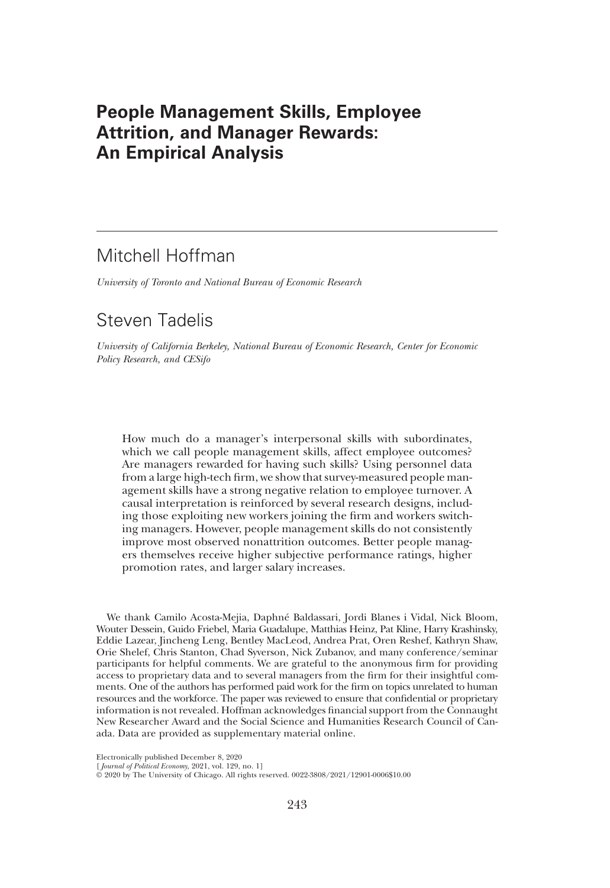# People Management Skills, Employee Attrition, and Manager Rewards: An Empirical Analysis

# Mitchell Hoffman

University of Toronto and National Bureau of Economic Research

# Steven Tadelis

University of California Berkeley, National Bureau of Economic Research, Center for Economic Policy Research, and CESifo

How much do a manager's interpersonal skills with subordinates, which we call people management skills, affect employee outcomes? Are managers rewarded for having such skills? Using personnel data from a large high-tech firm, we show that survey-measured people management skills have a strong negative relation to employee turnover. A causal interpretation is reinforced by several research designs, including those exploiting new workers joining the firm and workers switching managers. However, people management skills do not consistently improve most observed nonattrition outcomes. Better people managers themselves receive higher subjective performance ratings, higher promotion rates, and larger salary increases.

We thank Camilo Acosta-Mejia, Daphné Baldassari, Jordi Blanes i Vidal, Nick Bloom, Wouter Dessein, Guido Friebel, Maria Guadalupe, Matthias Heinz, Pat Kline, Harry Krashinsky, Eddie Lazear, Jincheng Leng, Bentley MacLeod, Andrea Prat, Oren Reshef, Kathryn Shaw, Orie Shelef, Chris Stanton, Chad Syverson, Nick Zubanov, and many conference/seminar participants for helpful comments. We are grateful to the anonymous firm for providing access to proprietary data and to several managers from the firm for their insightful comments. One of the authors has performed paid work for the firm on topics unrelated to human resources and the workforce. The paper was reviewed to ensure that confidential or proprietary information is not revealed. Hoffman acknowledges financial support from the Connaught New Researcher Award and the Social Science and Humanities Research Council of Canada. Data are provided as supplementary material online.

Electronically published December 8, 2020

<sup>[</sup> Journal of Political Economy, 2021, vol. 129, no. 1]

<sup>©</sup> 2020 by The University of Chicago. All rights reserved. 0022-3808/2021/12901-0006\$10.00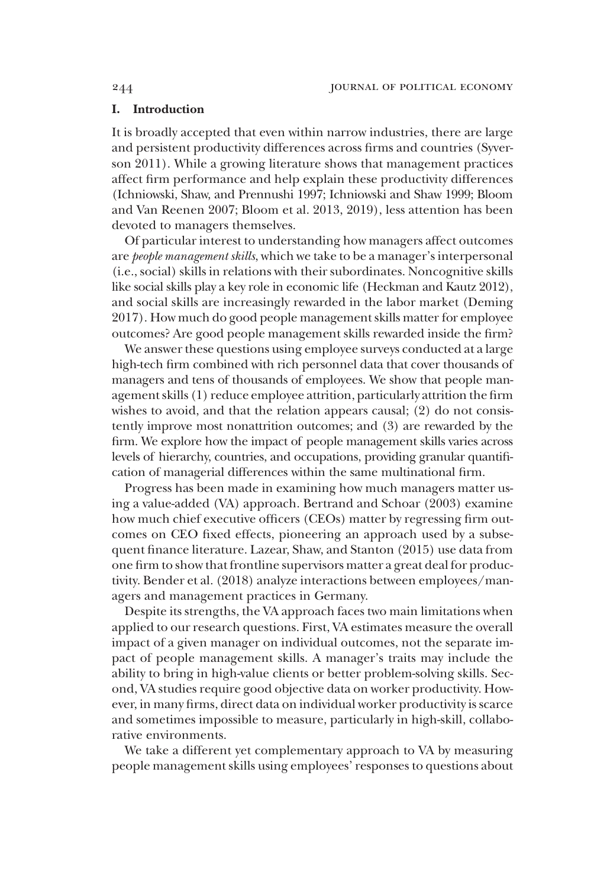# I. Introduction

It is broadly accepted that even within narrow industries, there are large and persistent productivity differences across firms and countries (Syverson 2011). While a growing literature shows that management practices affect firm performance and help explain these productivity differences (Ichniowski, Shaw, and Prennushi 1997; Ichniowski and Shaw 1999; Bloom and Van Reenen 2007; Bloom et al. 2013, 2019), less attention has been devoted to managers themselves.

Of particular interest to understanding how managers affect outcomes are *people management skills*, which we take to be a manager's interpersonal (i.e., social) skills in relations with their subordinates. Noncognitive skills like social skills play a key role in economic life (Heckman and Kautz 2012), and social skills are increasingly rewarded in the labor market (Deming 2017). How much do good people management skills matter for employee outcomes? Are good people management skills rewarded inside the firm?

We answer these questions using employee surveys conducted at a large high-tech firm combined with rich personnel data that cover thousands of managers and tens of thousands of employees. We show that people management skills (1) reduce employee attrition, particularly attrition the firm wishes to avoid, and that the relation appears causal; (2) do not consistently improve most nonattrition outcomes; and (3) are rewarded by the firm. We explore how the impact of people management skills varies across levels of hierarchy, countries, and occupations, providing granular quantification of managerial differences within the same multinational firm.

Progress has been made in examining how much managers matter using a value-added (VA) approach. Bertrand and Schoar (2003) examine how much chief executive officers (CEOs) matter by regressing firm outcomes on CEO fixed effects, pioneering an approach used by a subsequent finance literature. Lazear, Shaw, and Stanton (2015) use data from one firm to show that frontline supervisors matter a great deal for productivity. Bender et al. (2018) analyze interactions between employees/managers and management practices in Germany.

Despite its strengths, the VA approach faces two main limitations when applied to our research questions. First, VA estimates measure the overall impact of a given manager on individual outcomes, not the separate impact of people management skills. A manager's traits may include the ability to bring in high-value clients or better problem-solving skills. Second, VA studies require good objective data on worker productivity. However, in many firms, direct data on individual worker productivity is scarce and sometimes impossible to measure, particularly in high-skill, collaborative environments.

We take a different yet complementary approach to VA by measuring people management skills using employees'responses to questions about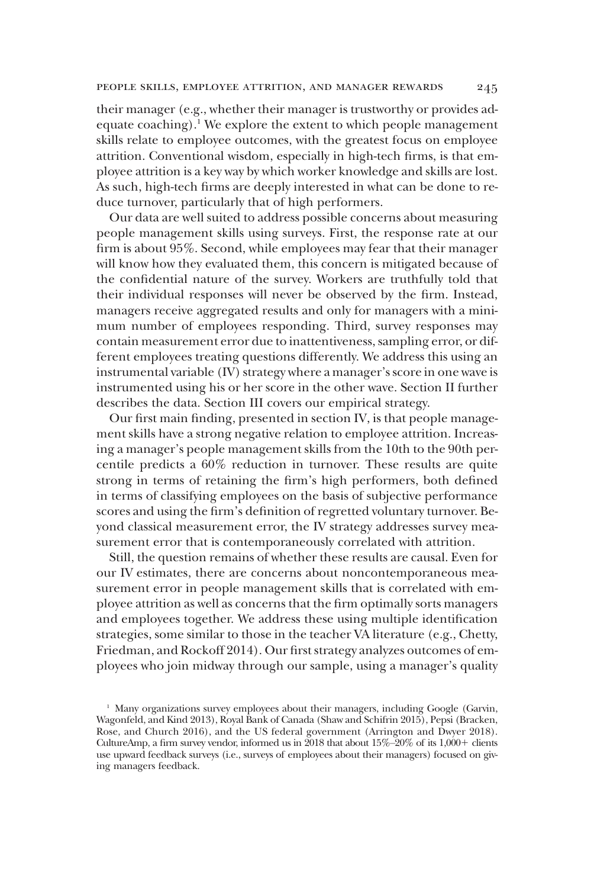their manager (e.g., whether their manager is trustworthy or provides adequate coaching).<sup>1</sup> We explore the extent to which people management skills relate to employee outcomes, with the greatest focus on employee attrition. Conventional wisdom, especially in high-tech firms, is that employee attrition is a key way by which worker knowledge and skills are lost. As such, high-tech firms are deeply interested in what can be done to reduce turnover, particularly that of high performers.

Our data are well suited to address possible concerns about measuring people management skills using surveys. First, the response rate at our firm is about 95%. Second, while employees may fear that their manager will know how they evaluated them, this concern is mitigated because of the confidential nature of the survey. Workers are truthfully told that their individual responses will never be observed by the firm. Instead, managers receive aggregated results and only for managers with a minimum number of employees responding. Third, survey responses may contain measurement error due to inattentiveness, sampling error, or different employees treating questions differently. We address this using an instrumental variable (IV) strategy where a manager's score in one wave is instrumented using his or her score in the other wave. Section II further describes the data. Section III covers our empirical strategy.

Our first main finding, presented in section IV, is that people management skills have a strong negative relation to employee attrition. Increasing a manager's people management skills from the 10th to the 90th percentile predicts a 60% reduction in turnover. These results are quite strong in terms of retaining the firm's high performers, both defined in terms of classifying employees on the basis of subjective performance scores and using the firm's definition of regretted voluntary turnover. Beyond classical measurement error, the IV strategy addresses survey measurement error that is contemporaneously correlated with attrition.

Still, the question remains of whether these results are causal. Even for our IV estimates, there are concerns about noncontemporaneous measurement error in people management skills that is correlated with employee attrition as well as concerns that the firm optimally sorts managers and employees together. We address these using multiple identification strategies, some similar to those in the teacher VA literature (e.g., Chetty, Friedman, and Rockoff 2014). Our first strategy analyzes outcomes of employees who join midway through our sample, using a manager's quality

<sup>&</sup>lt;sup>1</sup> Many organizations survey employees about their managers, including Google (Garvin, Wagonfeld, and Kind 2013), Royal Bank of Canada (Shaw and Schifrin 2015), Pepsi (Bracken, Rose, and Church 2016), and the US federal government (Arrington and Dwyer 2018). CultureAmp, a firm survey vendor, informed us in  $2018$  that about  $15\%$ – $20\%$  of its  $1,000$ + clients use upward feedback surveys (i.e., surveys of employees about their managers) focused on giving managers feedback.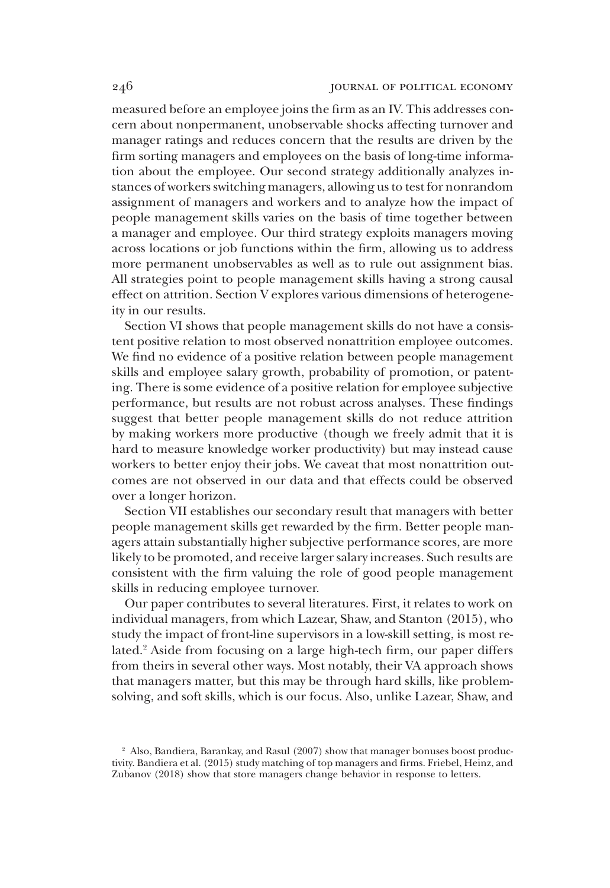measured before an employee joins the firm as an IV. This addresses concern about nonpermanent, unobservable shocks affecting turnover and manager ratings and reduces concern that the results are driven by the firm sorting managers and employees on the basis of long-time information about the employee. Our second strategy additionally analyzes instances of workers switching managers, allowing us to test for nonrandom assignment of managers and workers and to analyze how the impact of people management skills varies on the basis of time together between a manager and employee. Our third strategy exploits managers moving across locations or job functions within the firm, allowing us to address more permanent unobservables as well as to rule out assignment bias. All strategies point to people management skills having a strong causal effect on attrition. Section V explores various dimensions of heterogeneity in our results.

Section VI shows that people management skills do not have a consistent positive relation to most observed nonattrition employee outcomes. We find no evidence of a positive relation between people management skills and employee salary growth, probability of promotion, or patenting. There is some evidence of a positive relation for employee subjective performance, but results are not robust across analyses. These findings suggest that better people management skills do not reduce attrition by making workers more productive (though we freely admit that it is hard to measure knowledge worker productivity) but may instead cause workers to better enjoy their jobs. We caveat that most nonattrition outcomes are not observed in our data and that effects could be observed over a longer horizon.

Section VII establishes our secondary result that managers with better people management skills get rewarded by the firm. Better people managers attain substantially higher subjective performance scores, are more likely to be promoted, and receive larger salary increases. Such results are consistent with the firm valuing the role of good people management skills in reducing employee turnover.

Our paper contributes to several literatures. First, it relates to work on individual managers, from which Lazear, Shaw, and Stanton (2015), who study the impact of front-line supervisors in a low-skill setting, is most related.<sup>2</sup> Aside from focusing on a large high-tech firm, our paper differs from theirs in several other ways. Most notably, their VA approach shows that managers matter, but this may be through hard skills, like problemsolving, and soft skills, which is our focus. Also, unlike Lazear, Shaw, and

<sup>&</sup>lt;sup>2</sup> Also, Bandiera, Barankay, and Rasul (2007) show that manager bonuses boost productivity. Bandiera et al. (2015) study matching of top managers and firms. Friebel, Heinz, and Zubanov (2018) show that store managers change behavior in response to letters.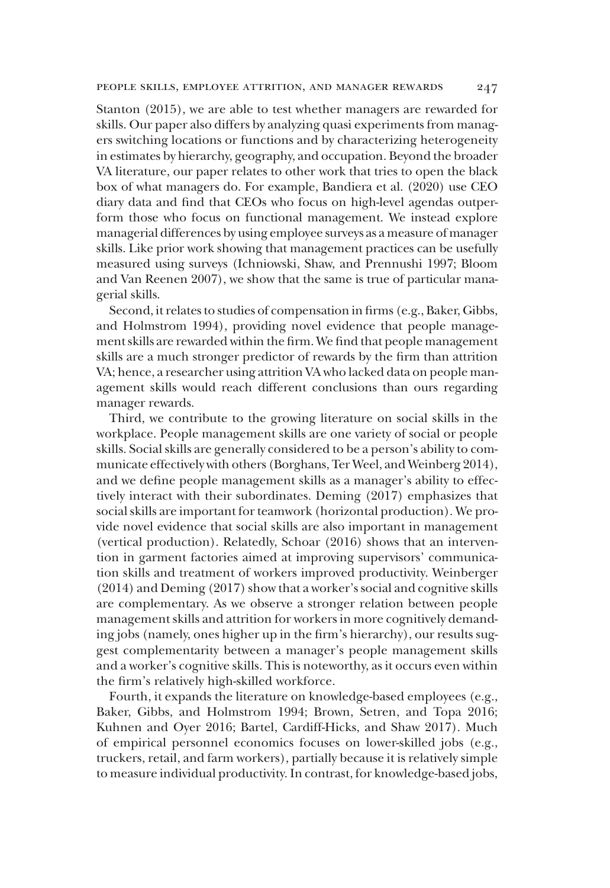Stanton (2015), we are able to test whether managers are rewarded for skills. Our paper also differs by analyzing quasi experiments from managers switching locations or functions and by characterizing heterogeneity in estimates by hierarchy, geography, and occupation. Beyond the broader VA literature, our paper relates to other work that tries to open the black box of what managers do. For example, Bandiera et al. (2020) use CEO diary data and find that CEOs who focus on high-level agendas outperform those who focus on functional management. We instead explore managerial differences by using employee surveys as a measure of manager skills. Like prior work showing that management practices can be usefully measured using surveys (Ichniowski, Shaw, and Prennushi 1997; Bloom and Van Reenen 2007), we show that the same is true of particular managerial skills.

Second, it relates to studies of compensation in firms (e.g., Baker, Gibbs, and Holmstrom 1994), providing novel evidence that people management skills are rewarded within the firm. We find that people management skills are a much stronger predictor of rewards by the firm than attrition VA; hence, a researcher using attrition VA who lacked data on people management skills would reach different conclusions than ours regarding manager rewards.

Third, we contribute to the growing literature on social skills in the workplace. People management skills are one variety of social or people skills. Social skills are generally considered to be a person's ability to communicate effectively with others (Borghans, Ter Weel, and Weinberg 2014), and we define people management skills as a manager's ability to effectively interact with their subordinates. Deming (2017) emphasizes that social skills are important for teamwork (horizontal production). We provide novel evidence that social skills are also important in management (vertical production). Relatedly, Schoar (2016) shows that an intervention in garment factories aimed at improving supervisors' communication skills and treatment of workers improved productivity. Weinberger (2014) and Deming (2017) show that a worker's social and cognitive skills are complementary. As we observe a stronger relation between people management skills and attrition for workers in more cognitively demanding jobs (namely, ones higher up in the firm's hierarchy), our results suggest complementarity between a manager's people management skills and a worker's cognitive skills. This is noteworthy, as it occurs even within the firm's relatively high-skilled workforce.

Fourth, it expands the literature on knowledge-based employees (e.g., Baker, Gibbs, and Holmstrom 1994; Brown, Setren, and Topa 2016; Kuhnen and Oyer 2016; Bartel, Cardiff-Hicks, and Shaw 2017). Much of empirical personnel economics focuses on lower-skilled jobs (e.g., truckers, retail, and farm workers), partially because it is relatively simple to measure individual productivity. In contrast, for knowledge-based jobs,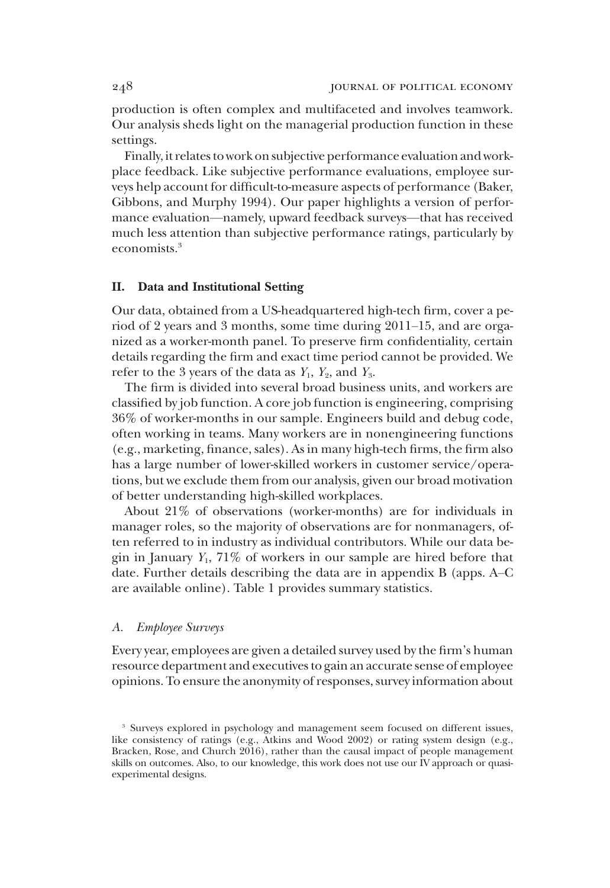production is often complex and multifaceted and involves teamwork. Our analysis sheds light on the managerial production function in these settings.

Finally, it relates to work on subjective performance evaluation and workplace feedback. Like subjective performance evaluations, employee surveys help account for difficult-to-measure aspects of performance (Baker, Gibbons, and Murphy 1994). Our paper highlights a version of performance evaluation—namely, upward feedback surveys—that has received much less attention than subjective performance ratings, particularly by economists.3

# II. Data and Institutional Setting

Our data, obtained from a US-headquartered high-tech firm, cover a period of 2 years and 3 months, some time during 2011–15, and are organized as a worker-month panel. To preserve firm confidentiality, certain details regarding the firm and exact time period cannot be provided. We refer to the 3 years of the data as  $Y_1$ ,  $Y_2$ , and  $Y_3$ .

The firm is divided into several broad business units, and workers are classified by job function. A core job function is engineering, comprising 36% of worker-months in our sample. Engineers build and debug code, often working in teams. Many workers are in nonengineering functions (e.g., marketing, finance, sales). As in many high-tech firms, the firm also has a large number of lower-skilled workers in customer service/operations, but we exclude them from our analysis, given our broad motivation of better understanding high-skilled workplaces.

About 21% of observations (worker-months) are for individuals in manager roles, so the majority of observations are for nonmanagers, often referred to in industry as individual contributors. While our data begin in January  $Y_1$ , 71% of workers in our sample are hired before that date. Further details describing the data are in appendix B (apps. A–C are available online). Table 1 provides summary statistics.

#### A. Employee Surveys

Every year, employees are given a detailed survey used by the firm's human resource department and executives to gain an accurate sense of employee opinions. To ensure the anonymity of responses, survey information about

<sup>&</sup>lt;sup>3</sup> Surveys explored in psychology and management seem focused on different issues, like consistency of ratings (e.g., Atkins and Wood 2002) or rating system design (e.g., Bracken, Rose, and Church 2016), rather than the causal impact of people management skills on outcomes. Also, to our knowledge, this work does not use our IV approach or quasiexperimental designs.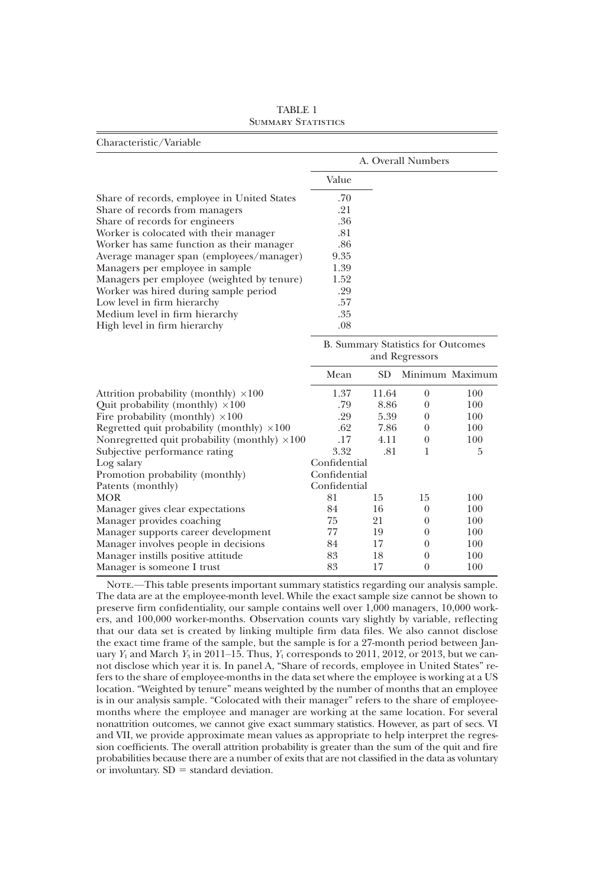| Characteristic/Variable                              |              |       |                                    |                 |
|------------------------------------------------------|--------------|-------|------------------------------------|-----------------|
|                                                      |              |       | A. Overall Numbers                 |                 |
|                                                      | Value        |       |                                    |                 |
| Share of records, employee in United States          | .70          |       |                                    |                 |
| Share of records from managers                       | .21          |       |                                    |                 |
| Share of records for engineers                       | .36          |       |                                    |                 |
| Worker is colocated with their manager               | .81          |       |                                    |                 |
| Worker has same function as their manager            | .86          |       |                                    |                 |
| Average manager span (employees/manager)             | 9.35         |       |                                    |                 |
| Managers per employee in sample                      | 1.39         |       |                                    |                 |
| Managers per employee (weighted by tenure)           | 1.52         |       |                                    |                 |
| Worker was hired during sample period                | .29          |       |                                    |                 |
| Low level in firm hierarchy                          | .57          |       |                                    |                 |
| Medium level in firm hierarchy                       | .35          |       |                                    |                 |
| High level in firm hierarchy                         | .08          |       |                                    |                 |
|                                                      |              |       | B. Summary Statistics for Outcomes |                 |
|                                                      |              |       | and Regressors                     |                 |
|                                                      | Mean         | SD.   |                                    | Minimum Maximum |
| Attrition probability (monthly) $\times 100$         | 1.37         | 11.64 | $\theta$                           | 100             |
| Quit probability (monthly) $\times 100$              | .79          | 8.86  | $\theta$                           | 100             |
| Fire probability (monthly) $\times 100$              | .29          | 5.39  | $\theta$                           | 100             |
| Regretted quit probability (monthly) $\times 100$    | .62          | 7.86  | $\theta$                           | 100             |
| Nonregretted quit probability (monthly) $\times 100$ | .17          | 4.11  | $\overline{0}$                     | 100             |
| Subjective performance rating                        | 3.32         | .81   | 1                                  | 5               |
| Log salary                                           | Confidential |       |                                    |                 |
| Promotion probability (monthly)                      | Confidential |       |                                    |                 |
| Patents (monthly)                                    | Confidential |       |                                    |                 |
| <b>MOR</b>                                           | 81           | 15    | 15                                 | 100             |
| Manager gives clear expectations                     | 84           | 16    | $\theta$                           | 100             |
| Manager provides coaching                            | 75           | 21    | $\theta$                           | 100             |
| Manager supports career development                  | 77           | 19    | $\theta$                           | 100             |
| Manager involves people in decisions                 | 84           | 17    | $\theta$                           | 100             |
| Manager instills positive attitude                   | 83           | 18    | $\overline{0}$                     | 100             |
| Manager is someone I trust                           | 83           | 17    | $\theta$                           | 100             |

TABLE 1 SUMMARY STATISTICS

NOTE.—This table presents important summary statistics regarding our analysis sample. The data are at the employee-month level. While the exact sample size cannot be shown to preserve firm confidentiality, our sample contains well over 1,000 managers, 10,000 workers, and 100,000 worker-months. Observation counts vary slightly by variable, reflecting that our data set is created by linking multiple firm data files. We also cannot disclose the exact time frame of the sample, but the sample is for a 27-month period between January  $Y_1$  and March  $Y_3$  in 2011–15. Thus,  $Y_1$  corresponds to 2011, 2012, or 2013, but we cannot disclose which year it is. In panel A, "Share of records, employee in United States" refers to the share of employee-months in the data set where the employee is working at a US location. "Weighted by tenure" means weighted by the number of months that an employee is in our analysis sample. "Colocated with their manager" refers to the share of employeemonths where the employee and manager are working at the same location. For several nonattrition outcomes, we cannot give exact summary statistics. However, as part of secs. VI and VII, we provide approximate mean values as appropriate to help interpret the regression coefficients. The overall attrition probability is greater than the sum of the quit and fire probabilities because there are a number of exits that are not classified in the data as voluntary or involuntary.  $SD = standard deviation$ .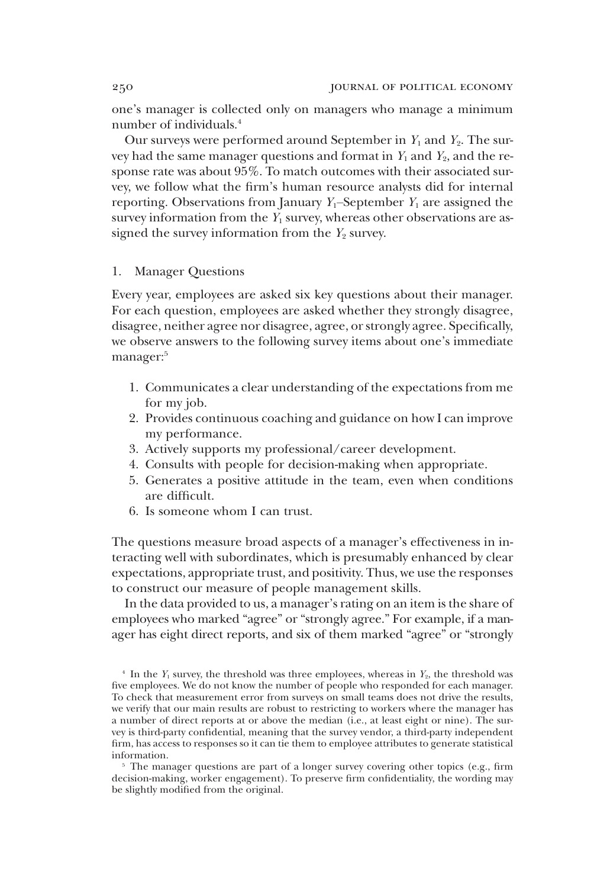one's manager is collected only on managers who manage a minimum number of individuals.4

Our surveys were performed around September in  $Y_1$  and  $Y_2$ . The survey had the same manager questions and format in  $Y_1$  and  $Y_2$ , and the response rate was about 95%. To match outcomes with their associated survey, we follow what the firm's human resource analysts did for internal reporting. Observations from January  $Y_1$ –September  $Y_1$  are assigned the survey information from the  $Y_1$  survey, whereas other observations are assigned the survey information from the  $Y_2$  survey.

# 1. Manager Questions

Every year, employees are asked six key questions about their manager. For each question, employees are asked whether they strongly disagree, disagree, neither agree nor disagree, agree, or strongly agree. Specifically, we observe answers to the following survey items about one's immediate manager:<sup>5</sup>

- 1. Communicates a clear understanding of the expectations from me for my job.
- 2. Provides continuous coaching and guidance on how I can improve my performance.
- 3. Actively supports my professional/career development.
- 4. Consults with people for decision-making when appropriate.
- 5. Generates a positive attitude in the team, even when conditions are difficult.
- 6. Is someone whom I can trust.

The questions measure broad aspects of a manager's effectiveness in interacting well with subordinates, which is presumably enhanced by clear expectations, appropriate trust, and positivity. Thus, we use the responses to construct our measure of people management skills.

In the data provided to us, a manager's rating on an item is the share of employees who marked "agree" or "strongly agree." For example, if a manager has eight direct reports, and six of them marked "agree" or "strongly

<sup>&</sup>lt;sup>4</sup> In the  $Y_1$  survey, the threshold was three employees, whereas in  $Y_2$ , the threshold was five employees. We do not know the number of people who responded for each manager. To check that measurement error from surveys on small teams does not drive the results, we verify that our main results are robust to restricting to workers where the manager has a number of direct reports at or above the median (i.e., at least eight or nine). The survey is third-party confidential, meaning that the survey vendor, a third-party independent firm, has access to responses so it can tie them to employee attributes to generate statistical information.

<sup>&</sup>lt;sup>5</sup> The manager questions are part of a longer survey covering other topics (e.g., firm decision-making, worker engagement). To preserve firm confidentiality, the wording may be slightly modified from the original.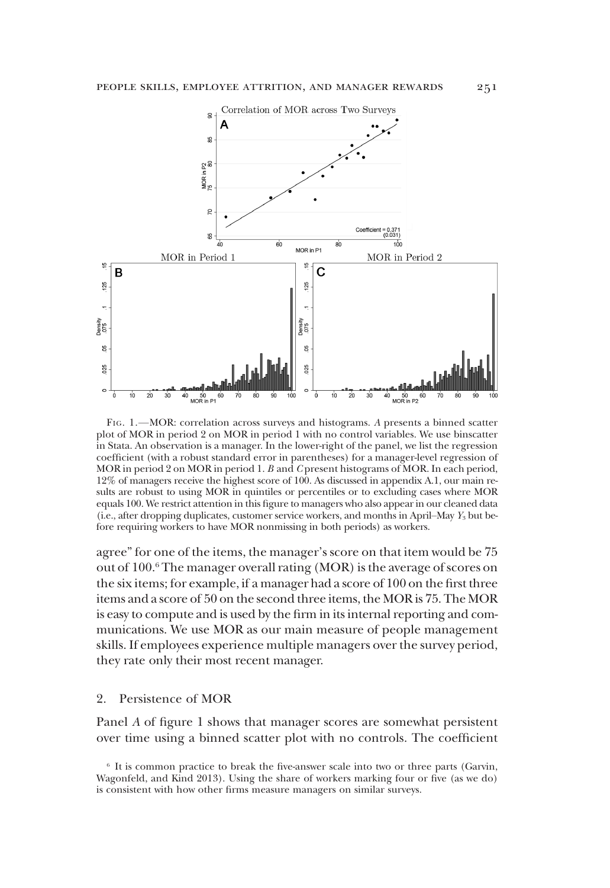

FIG. 1.—MOR: correlation across surveys and histograms. A presents a binned scatter plot of MOR in period 2 on MOR in period 1 with no control variables. We use binscatter in Stata. An observation is a manager. In the lower-right of the panel, we list the regression coefficient (with a robust standard error in parentheses) for a manager-level regression of MOR in period 2 on MOR in period 1. B and C present histograms of MOR. In each period, 12% of managers receive the highest score of 100. As discussed in appendix A.1, our main results are robust to using MOR in quintiles or percentiles or to excluding cases where MOR equals 100. We restrict attention in this figure to managers who also appear in our cleaned data (i.e., after dropping duplicates, customer service workers, and months in April–May  $Y_3$  but before requiring workers to have MOR nonmissing in both periods) as workers.

agree" for one of the items, the manager's score on that item would be 75 out of 100.<sup>6</sup> The manager overall rating (MOR) is the average of scores on the six items; for example, if a manager had a score of 100 on the first three items and a score of 50 on the second three items, the MOR is 75. The MOR is easy to compute and is used by the firm in its internal reporting and communications. We use MOR as our main measure of people management skills. If employees experience multiple managers over the survey period, they rate only their most recent manager.

#### 2. Persistence of MOR

Panel A of figure 1 shows that manager scores are somewhat persistent over time using a binned scatter plot with no controls. The coefficient

<sup>&</sup>lt;sup>6</sup> It is common practice to break the five-answer scale into two or three parts (Garvin, Wagonfeld, and Kind 2013). Using the share of workers marking four or five (as we do) is consistent with how other firms measure managers on similar surveys.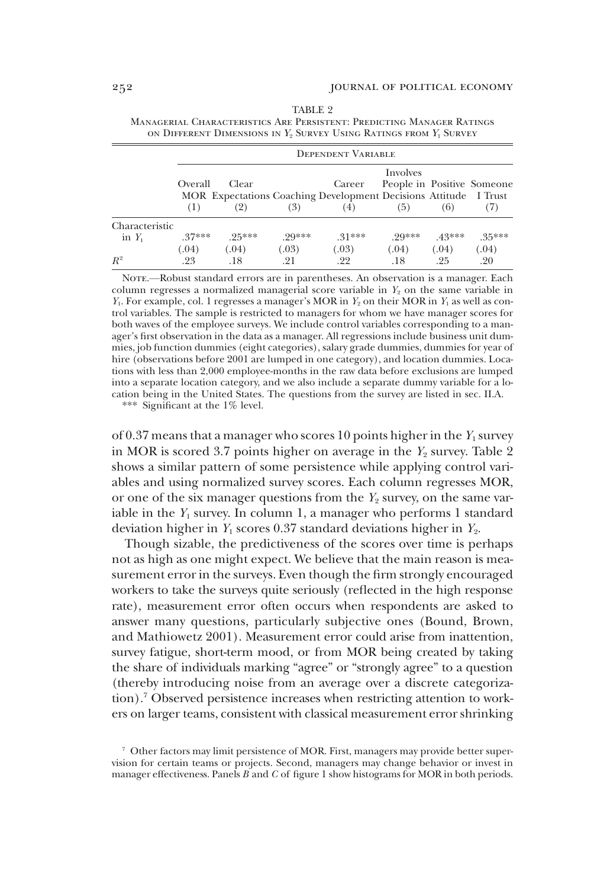|                            | <b>DEPENDENT VARIABLE</b> |              |              |                                                                            |              |              |                            |  |  |
|----------------------------|---------------------------|--------------|--------------|----------------------------------------------------------------------------|--------------|--------------|----------------------------|--|--|
|                            | Overall                   | Clear        |              | Career<br>MOR Expectations Coaching Development Decisions Attitude I Trust | Involves     |              | People in Positive Someone |  |  |
|                            | (1)                       | (2)          | (3)          | (4)                                                                        | (5)          | (6)          | (7)                        |  |  |
| Characteristic<br>in $Y_1$ | $37***$                   | $95***$      | 90***        | $31***$                                                                    | 90***        | $.43***$     | $.35***$                   |  |  |
| $R^2$                      | (.04)<br>.23              | (.04)<br>.18 | (.03)<br>.21 | (.03)<br>.22                                                               | (.04)<br>.18 | (.04)<br>.25 | (.04)<br>.20               |  |  |

| TABLE 2                                                                                   |
|-------------------------------------------------------------------------------------------|
| MANAGERIAL CHARACTERISTICS ARE PERSISTENT: PREDICTING MANAGER RATINGS                     |
| ON DIFFERENT DIMENSIONS IN Y <sub>2</sub> SURVEY USING RATINGS FROM Y <sub>1</sub> SURVEY |

NOTE.—Robust standard errors are in parentheses. An observation is a manager. Each column regresses a normalized managerial score variable in  $Y_2$  on the same variable in  $Y_1$ . For example, col. 1 regresses a manager's MOR in  $Y_2$  on their MOR in  $Y_1$  as well as control variables. The sample is restricted to managers for whom we have manager scores for both waves of the employee surveys. We include control variables corresponding to a manager's first observation in the data as a manager. All regressions include business unit dummies, job function dummies (eight categories), salary grade dummies, dummies for year of hire (observations before 2001 are lumped in one category), and location dummies. Locations with less than 2,000 employee-months in the raw data before exclusions are lumped into a separate location category, and we also include a separate dummy variable for a location being in the United States. The questions from the survey are listed in sec. II.A.

\*\*\* Significant at the 1% level.

of 0.37 means that a manager who scores 10 points higher in the  $Y_1$  survey in MOR is scored 3.7 points higher on average in the  $Y_2$  survey. Table 2 shows a similar pattern of some persistence while applying control variables and using normalized survey scores. Each column regresses MOR, or one of the six manager questions from the  $Y_2$  survey, on the same variable in the  $Y_1$  survey. In column 1, a manager who performs 1 standard deviation higher in  $Y_1$  scores 0.37 standard deviations higher in  $Y_2$ .

Though sizable, the predictiveness of the scores over time is perhaps not as high as one might expect. We believe that the main reason is measurement error in the surveys. Even though the firm strongly encouraged workers to take the surveys quite seriously (reflected in the high response rate), measurement error often occurs when respondents are asked to answer many questions, particularly subjective ones (Bound, Brown, and Mathiowetz 2001). Measurement error could arise from inattention, survey fatigue, short-term mood, or from MOR being created by taking the share of individuals marking "agree" or "strongly agree" to a question (thereby introducing noise from an average over a discrete categorization).7 Observed persistence increases when restricting attention to workers on larger teams, consistent with classical measurement error shrinking

<sup>7</sup> Other factors may limit persistence of MOR. First, managers may provide better supervision for certain teams or projects. Second, managers may change behavior or invest in manager effectiveness. Panels  $B$  and  $C$  of figure 1 show histograms for MOR in both periods.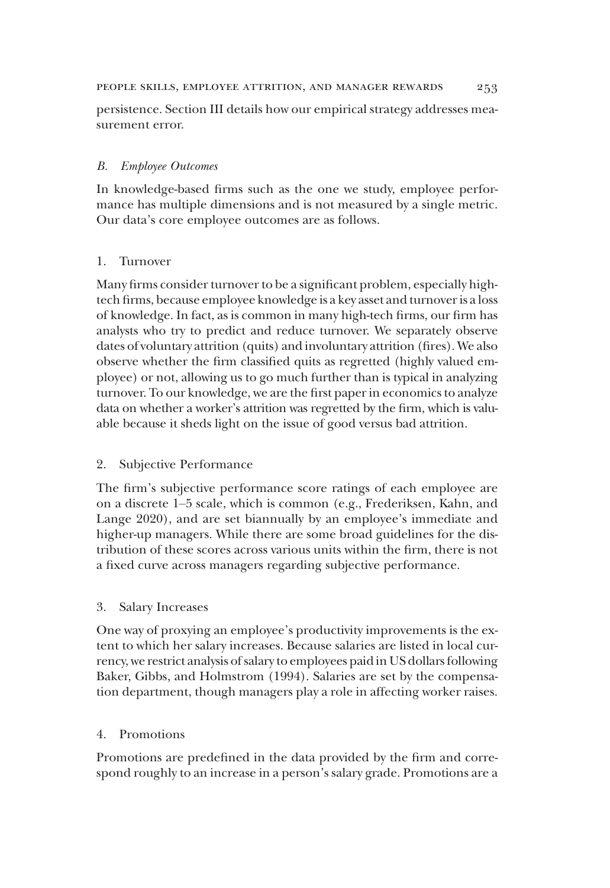## people skills, employee attrition, and manager rewards 253

persistence. Section III details how our empirical strategy addresses measurement error.

# B. Employee Outcomes

In knowledge-based firms such as the one we study, employee performance has multiple dimensions and is not measured by a single metric. Our data's core employee outcomes are as follows.

# 1. Turnover

Many firms consider turnover to be a significant problem, especially hightech firms, because employee knowledge is a key asset and turnover is a loss of knowledge. In fact, as is common in many high-tech firms, our firm has analysts who try to predict and reduce turnover. We separately observe dates of voluntary attrition (quits) and involuntary attrition (fires). We also observe whether the firm classified quits as regretted (highly valued employee) or not, allowing us to go much further than is typical in analyzing turnover. To our knowledge, we are the first paper in economics to analyze data on whether a worker's attrition was regretted by the firm, which is valuable because it sheds light on the issue of good versus bad attrition.

# 2. Subjective Performance

The firm's subjective performance score ratings of each employee are on a discrete 1–5 scale, which is common (e.g., Frederiksen, Kahn, and Lange 2020), and are set biannually by an employee's immediate and higher-up managers. While there are some broad guidelines for the distribution of these scores across various units within the firm, there is not a fixed curve across managers regarding subjective performance.

# 3. Salary Increases

One way of proxying an employee's productivity improvements is the extent to which her salary increases. Because salaries are listed in local currency, we restrict analysis of salary to employees paid in US dollars following Baker, Gibbs, and Holmstrom (1994). Salaries are set by the compensation department, though managers play a role in affecting worker raises.

# 4. Promotions

Promotions are predefined in the data provided by the firm and correspond roughly to an increase in a person's salary grade. Promotions are a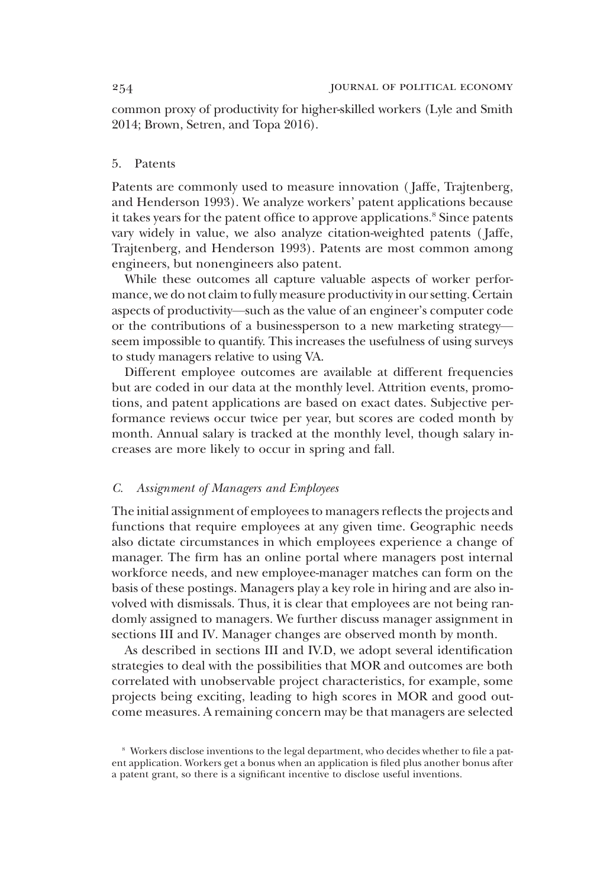common proxy of productivity for higher-skilled workers (Lyle and Smith 2014; Brown, Setren, and Topa 2016).

# 5. Patents

Patents are commonly used to measure innovation ( Jaffe, Trajtenberg, and Henderson 1993). We analyze workers' patent applications because it takes years for the patent office to approve applications.<sup>8</sup> Since patents vary widely in value, we also analyze citation-weighted patents ( Jaffe, Trajtenberg, and Henderson 1993). Patents are most common among engineers, but nonengineers also patent.

While these outcomes all capture valuable aspects of worker performance, we do not claim to fully measure productivity in our setting. Certain aspects of productivity—such as the value of an engineer's computer code or the contributions of a businessperson to a new marketing strategy seem impossible to quantify. This increases the usefulness of using surveys to study managers relative to using VA.

Different employee outcomes are available at different frequencies but are coded in our data at the monthly level. Attrition events, promotions, and patent applications are based on exact dates. Subjective performance reviews occur twice per year, but scores are coded month by month. Annual salary is tracked at the monthly level, though salary increases are more likely to occur in spring and fall.

#### C. Assignment of Managers and Employees

The initial assignment of employees to managers reflects the projects and functions that require employees at any given time. Geographic needs also dictate circumstances in which employees experience a change of manager. The firm has an online portal where managers post internal workforce needs, and new employee-manager matches can form on the basis of these postings. Managers play a key role in hiring and are also involved with dismissals. Thus, it is clear that employees are not being randomly assigned to managers. We further discuss manager assignment in sections III and IV. Manager changes are observed month by month.

As described in sections III and IV.D, we adopt several identification strategies to deal with the possibilities that MOR and outcomes are both correlated with unobservable project characteristics, for example, some projects being exciting, leading to high scores in MOR and good outcome measures. A remaining concern may be that managers are selected

<sup>8</sup> Workers disclose inventions to the legal department, who decides whether to file a patent application. Workers get a bonus when an application is filed plus another bonus after a patent grant, so there is a significant incentive to disclose useful inventions.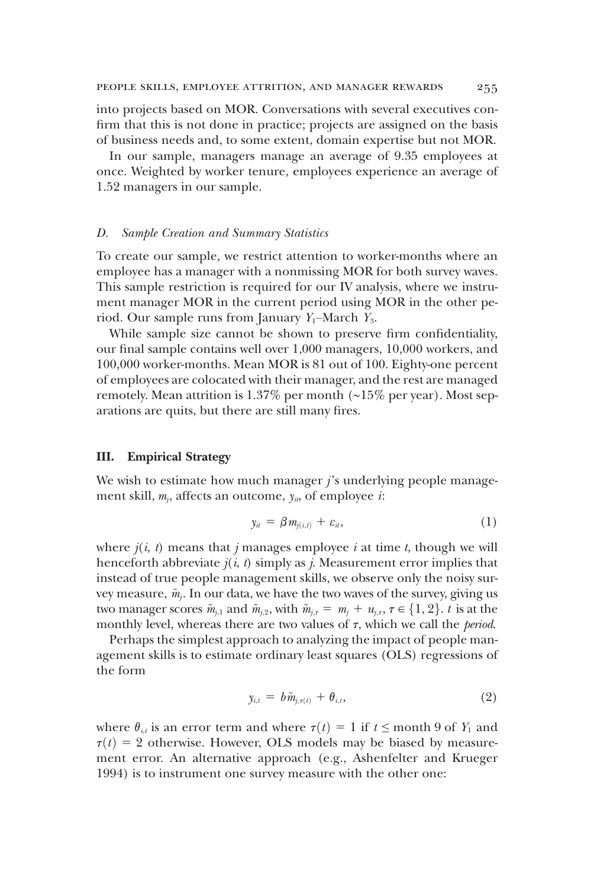into projects based on MOR. Conversations with several executives confirm that this is not done in practice; projects are assigned on the basis of business needs and, to some extent, domain expertise but not MOR.

In our sample, managers manage an average of 9.35 employees at once. Weighted by worker tenure, employees experience an average of 1.52 managers in our sample.

#### D. Sample Creation and Summary Statistics

To create our sample, we restrict attention to worker-months where an employee has a manager with a nonmissing MOR for both survey waves. This sample restriction is required for our IV analysis, where we instrument manager MOR in the current period using MOR in the other period. Our sample runs from January  $Y_1$ –March  $Y_3$ .

While sample size cannot be shown to preserve firm confidentiality, our final sample contains well over 1,000 managers, 10,000 workers, and 100,000 worker-months. Mean MOR is 81 out of 100. Eighty-one percent of employees are colocated with their manager, and the rest are managed remotely. Mean attrition is 1.37% per month (∼15% per year). Most separations are quits, but there are still many fires.

#### III. Empirical Strategy

We wish to estimate how much manager  $j$ 's underlying people management skill,  $m_j$ , affects an outcome,  $y_{i}$ , of employee *i*:

$$
y_{ii} = \beta m_{j(i,t)} + \varepsilon_{ii}, \qquad (1)
$$

where  $j(i, t)$  means that j manages employee i at time t, though we will henceforth abbreviate  $j(i, t)$  simply as j. Measurement error implies that instead of true people management skills, we observe only the noisy survey measure,  $\tilde{m}_j$ . In our data, we have the two waves of the survey, giving us two manager scores  $\tilde{m}_{i,1}$  and  $\tilde{m}_{i,2}$ , with  $\tilde{m}_{i,\tau} = m_i + u_{i,\tau}$ ,  $\tau \in \{1, 2\}$ . t is at the monthly level, whereas there are two values of  $\tau$ , which we call the *period*.

Perhaps the simplest approach to analyzing the impact of people management skills is to estimate ordinary least squares (OLS) regressions of the form

$$
y_{i,t} = b\tilde{m}_{j,\tau(t)} + \theta_{i,t}, \qquad (2)
$$

where  $\theta_{i,t}$  is an error term and where  $\tau(t) = 1$  if  $t \le$  month 9 of  $Y_1$  and  $\tau(t) = 2$  otherwise. However, OLS models may be biased by measurement error. An alternative approach (e.g., Ashenfelter and Krueger 1994) is to instrument one survey measure with the other one: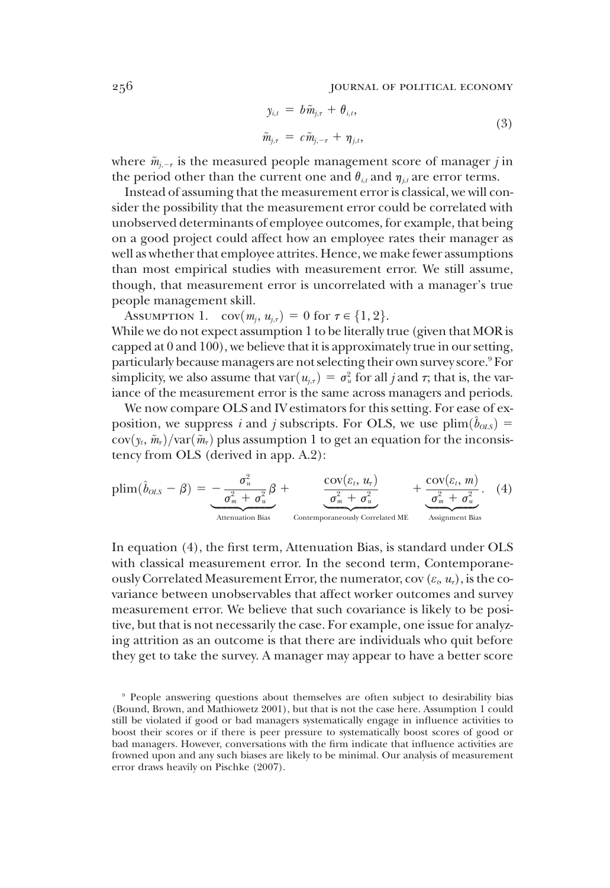256 JOURNAL OF POLITICAL ECONOMY

$$
y_{i,t} = b\tilde{m}_{j,\tau} + \theta_{i,t},
$$
  
\n
$$
\tilde{m}_{j,\tau} = c\tilde{m}_{j,-\tau} + \eta_{j,t},
$$
\n(3)

where  $\tilde{m}_{i-1}$  is the measured people management score of manager j in the period other than the current one and  $\theta_{i,t}$  and  $\eta_{i,t}$  are error terms.

Instead of assuming that the measurement error is classical, we will consider the possibility that the measurement error could be correlated with unobserved determinants of employee outcomes, for example, that being on a good project could affect how an employee rates their manager as well as whether that employee attrites. Hence, we make fewer assumptions than most empirical studies with measurement error. We still assume, though, that measurement error is uncorrelated with a manager's true people management skill.

ASSUMPTION 1.  $cov(m_i, u_{i,\tau}) = 0$  for  $\tau \in \{1, 2\}.$ While we do not expect assumption 1 to be literally true (given that MOR is capped at 0 and 100), we believe that it is approximately true in our setting, particularly because managers are not selecting their own survey score.<sup>9</sup> For

simplicity, we also assume that  $var(u_{j,\tau}) = \sigma_u^2$  for all j and  $\tau$ ; that is, the variance of the measurement error is the same across managers and periods iance of the measurement error is the same across managers and periods. We now compare OLS and IV estimators for this setting. For ease of exposition, we suppress i and j subscripts. For OLS, we use  $\text{plim}(\hat{b}_{OLS}) =$  $cov(y_t, \tilde{m}_{\tau})/var(\tilde{m}_{\tau})$  plus assumption 1 to get an equation for the inconsistency from OLS (derived in app. A.2):

$$
\text{plim}(\hat{b}_{OLS} - \beta) = -\frac{\sigma_u^2}{\sigma_m^2 + \sigma_u^2} \beta + \frac{\text{cov}(\varepsilon_t, u_\tau)}{\sigma_m^2 + \sigma_u^2} + \frac{\text{cov}(\varepsilon_t, m)}{\sigma_m^2 + \sigma_u^2} \left( 4 \right)
$$
\n
$$
\text{Attention Bias} \text{Bias} \qquad \text{Contemporanceously Correlated ME} \qquad \text{Assignment Bias} \text{Bias}
$$

In equation (4), the first term, Attenuation Bias, is standard under OLS with classical measurement error. In the second term, Contemporaneously Correlated Measurement Error, the numerator, cov ( $\varepsilon_b$ ,  $u_{\tau}$ ), is the covariance between unobservables that affect worker outcomes and survey measurement error. We believe that such covariance is likely to be positive, but that is not necessarily the case. For example, one issue for analyzing attrition as an outcome is that there are individuals who quit before they get to take the survey. A manager may appear to have a better score

<sup>9</sup> People answering questions about themselves are often subject to desirability bias (Bound, Brown, and Mathiowetz 2001), but that is not the case here. Assumption 1 could still be violated if good or bad managers systematically engage in influence activities to boost their scores or if there is peer pressure to systematically boost scores of good or bad managers. However, conversations with the firm indicate that influence activities are frowned upon and any such biases are likely to be minimal. Our analysis of measurement error draws heavily on Pischke (2007).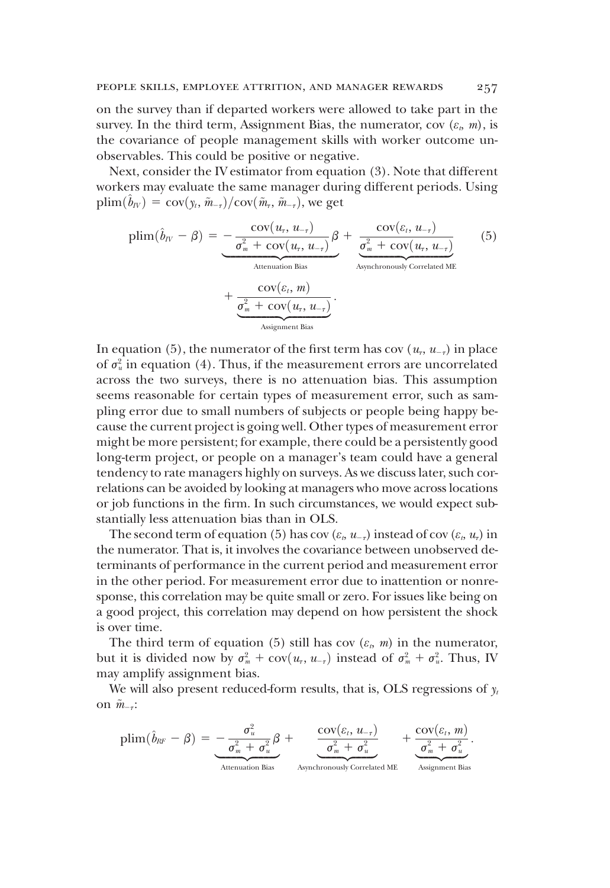on the survey than if departed workers were allowed to take part in the survey. In the third term, Assignment Bias, the numerator, cov  $(\varepsilon_n, m)$ , is the covariance of people management skills with worker outcome unobservables. This could be positive or negative.

Next, consider the IV estimator from equation (3). Note that different workers may evaluate the same manager during different periods. Using  $\text{plim}(\hat{b}_{IV}) = \text{cov}(\hat{y}_t, \hat{m}_{-\tau})/\text{cov}(\tilde{m}_{\tau}, \hat{m}_{-\tau}),$  we get

$$
\text{plim}(\hat{b}_{IV} - \beta) = -\frac{\text{cov}(u_{\tau}, u_{-\tau})}{\sigma_m^2 + \text{cov}(u_{\tau}, u_{-\tau})} \beta + \frac{\text{cov}(\varepsilon_t, u_{-\tau})}{\sigma_m^2 + \text{cov}(u_{\tau}, u_{-\tau})} \tag{5}
$$
\n
$$
+ \frac{\text{cov}(\varepsilon_t, m)}{\sigma_m^2 + \text{cov}(u_{\tau}, u_{-\tau})} \cdot \frac{\sigma_m^2 + \text{cov}(u_{\tau}, u_{-\tau})}{\text{Assignment Bias}}.
$$

In equation (5), the numerator of the first term has cov  $(u_7, u_{-7})$  in place of  $\sigma_u^2$  in equation (4). Thus, if the measurement errors are uncorrelated across the two surveys, there is no attenuation bias. This assumption seems reasonable for certain types of measurement error, such as sampling error due to small numbers of subjects or people being happy because the current project is going well. Other types of measurement error might be more persistent; for example, there could be a persistently good long-term project, or people on a manager's team could have a general tendency to rate managers highly on surveys. As we discuss later, such correlations can be avoided by looking at managers who move across locations or job functions in the firm. In such circumstances, we would expect substantially less attenuation bias than in OLS.

The second term of equation (5) has cov ( $\varepsilon_t$ ,  $u_{-\tau}$ ) instead of cov ( $\varepsilon_t$ ,  $u_{\tau}$ ) in the numerator. That is, it involves the covariance between unobserved determinants of performance in the current period and measurement error in the other period. For measurement error due to inattention or nonresponse, this correlation may be quite small or zero. For issues like being on a good project, this correlation may depend on how persistent the shock is over time.

The third term of equation (5) still has cov  $(\varepsilon_n, m)$  in the numerator, but it is divided now by  $\sigma_m^2 + \text{cov}(u_\tau, u_{-\tau})$  instead of  $\sigma_m^2 + \sigma_u^2$ . Thus, IV may amplify assignment bias may amplify assignment bias.

We will also present reduced-form results, that is, OLS regressions of  $y_t$ on  $\tilde{m}_{-\tau}$ :

$$
\text{plim}(\hat{b}_{RF} - \beta) = -\frac{\sigma_u^2}{\sigma_m^2 + \sigma_u^2} \beta + \underbrace{\frac{\text{cov}(\varepsilon_t, u_{-\tau})}{\sigma_m^2 + \sigma_u^2}}_{\text{Attention Bias}} + \underbrace{\frac{\text{cov}(\varepsilon_t, m)}{\sigma_m^2 + \sigma_u^2}}_{\text{Asynchronously Correlated ME}} + \underbrace{\frac{\text{cov}(\varepsilon_t, m)}{\sigma_m^2 + \sigma_u^2}}_{\text{Assignment Bias}}
$$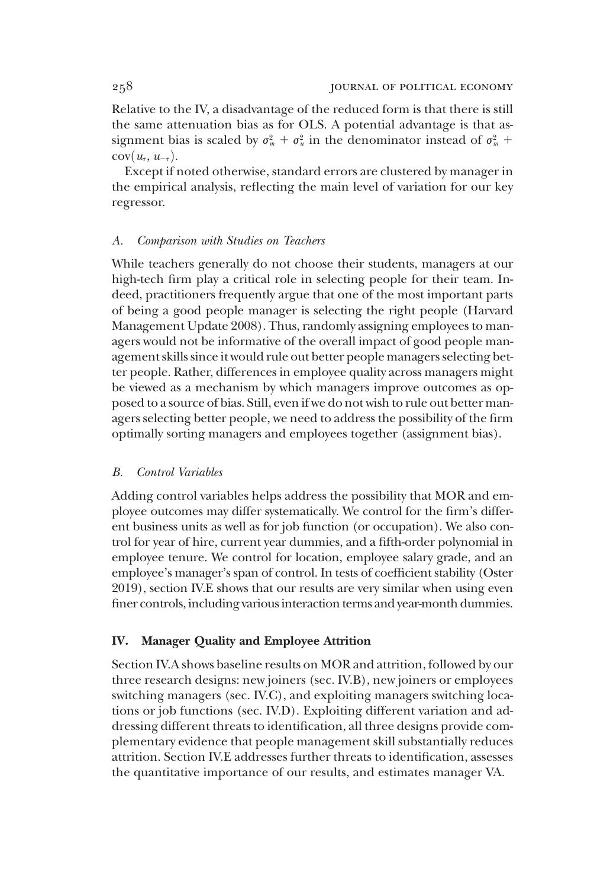Relative to the IV, a disadvantage of the reduced form is that there is still the same attenuation bias as for OLS. A potential advantage is that assignment bias is scaled by  $\sigma_m^2 + \sigma_u^2$  in the denominator instead of  $\sigma_m^2$  +  $cov(u_{\tau}, u_{-\tau}).$ 

Except if noted otherwise, standard errors are clustered by manager in the empirical analysis, reflecting the main level of variation for our key regressor.

#### A. Comparison with Studies on Teachers

While teachers generally do not choose their students, managers at our high-tech firm play a critical role in selecting people for their team. Indeed, practitioners frequently argue that one of the most important parts of being a good people manager is selecting the right people (Harvard Management Update 2008). Thus, randomly assigning employees to managers would not be informative of the overall impact of good people management skills since it would rule out better people managers selecting better people. Rather, differences in employee quality across managers might be viewed as a mechanism by which managers improve outcomes as opposed to a source of bias. Still, even if we do not wish to rule out better managers selecting better people, we need to address the possibility of the firm optimally sorting managers and employees together (assignment bias).

#### B. Control Variables

Adding control variables helps address the possibility that MOR and employee outcomes may differ systematically. We control for the firm's different business units as well as for job function (or occupation). We also control for year of hire, current year dummies, and a fifth-order polynomial in employee tenure. We control for location, employee salary grade, and an employee's manager's span of control. In tests of coefficient stability (Oster 2019), section IV.E shows that our results are very similar when using even finer controls, including various interaction terms and year-month dummies.

# IV. Manager Quality and Employee Attrition

Section IV.A shows baseline results on MOR and attrition, followed by our three research designs: new joiners (sec. IV.B), new joiners or employees switching managers (sec. IV.C), and exploiting managers switching locations or job functions (sec. IV.D). Exploiting different variation and addressing different threats to identification, all three designs provide complementary evidence that people management skill substantially reduces attrition. Section IV.E addresses further threats to identification, assesses the quantitative importance of our results, and estimates manager VA.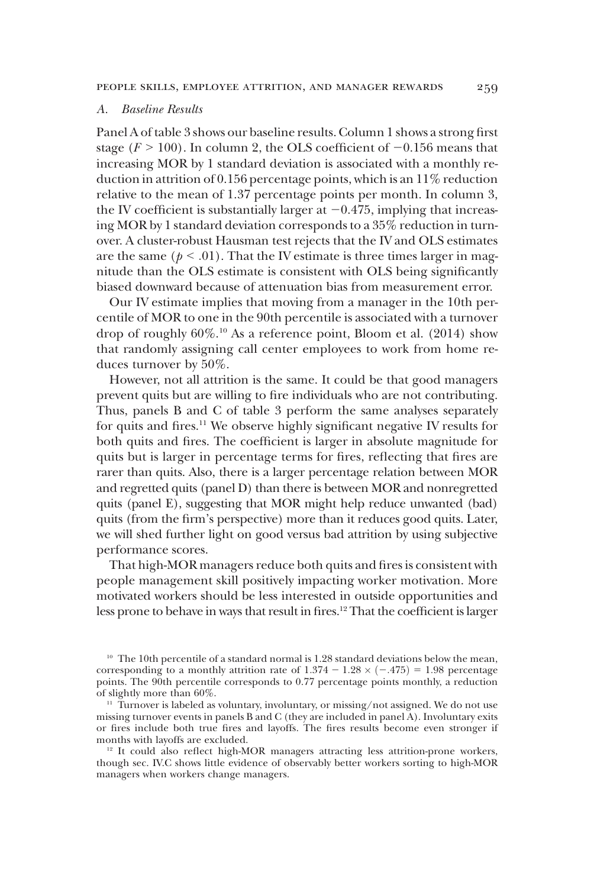# A. Baseline Results

Panel A of table 3 shows our baseline results. Column 1 shows a strong first stage ( $F > 100$ ). In column 2, the OLS coefficient of  $-0.156$  means that increasing MOR by 1 standard deviation is associated with a monthly reduction in attrition of 0.156 percentage points, which is an 11% reduction relative to the mean of 1.37 percentage points per month. In column 3, the IV coefficient is substantially larger at  $-0.475$ , implying that increasing MOR by 1 standard deviation corresponds to a 35% reduction in turnover. A cluster-robust Hausman test rejects that the IV and OLS estimates are the same ( $p < .01$ ). That the IV estimate is three times larger in magnitude than the OLS estimate is consistent with OLS being significantly biased downward because of attenuation bias from measurement error.

Our IV estimate implies that moving from a manager in the 10th percentile of MOR to one in the 90th percentile is associated with a turnover drop of roughly 60%.10 As a reference point, Bloom et al. (2014) show that randomly assigning call center employees to work from home reduces turnover by 50%.

However, not all attrition is the same. It could be that good managers prevent quits but are willing to fire individuals who are not contributing. Thus, panels B and C of table 3 perform the same analyses separately for quits and fires.<sup>11</sup> We observe highly significant negative IV results for both quits and fires. The coefficient is larger in absolute magnitude for quits but is larger in percentage terms for fires, reflecting that fires are rarer than quits. Also, there is a larger percentage relation between MOR and regretted quits (panel D) than there is between MOR and nonregretted quits (panel E), suggesting that MOR might help reduce unwanted (bad) quits (from the firm's perspective) more than it reduces good quits. Later, we will shed further light on good versus bad attrition by using subjective performance scores.

That high-MOR managers reduce both quits and fires is consistent with people management skill positively impacting worker motivation. More motivated workers should be less interested in outside opportunities and less prone to behave in ways that result in fires.<sup>12</sup> That the coefficient is larger

<sup>10</sup> The 10th percentile of a standard normal is 1.28 standard deviations below the mean, corresponding to a monthly attrition rate of  $1.374 - 1.28 \times (-.475) = 1.98$  percentage points. The 90th percentile corresponds to 0.77 percentage points monthly, a reduction of slightly more than 60%.

 $11$  Turnover is labeled as voluntary, involuntary, or missing/not assigned. We do not use missing turnover events in panels B and C (they are included in panel A). Involuntary exits or fires include both true fires and layoffs. The fires results become even stronger if months with layoffs are excluded.

<sup>&</sup>lt;sup>12</sup> It could also reflect high-MOR managers attracting less attrition-prone workers, though sec. IV.C shows little evidence of observably better workers sorting to high-MOR managers when workers change managers.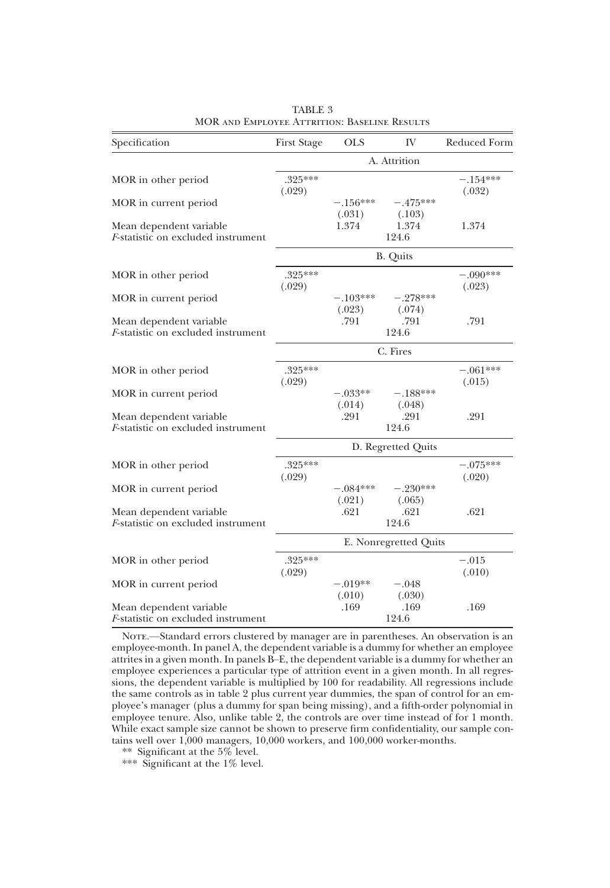| Specification                                                         | <b>First Stage</b>  | <b>OLS</b>            | IV                   | Reduced Form         |  |
|-----------------------------------------------------------------------|---------------------|-----------------------|----------------------|----------------------|--|
|                                                                       | A. Attrition        |                       |                      |                      |  |
| MOR in other period                                                   | .325***<br>(.029)   |                       |                      | $-.154***$<br>(.032) |  |
| MOR in current period                                                 |                     | $-.156***$<br>(.031)  | $-.475***$<br>(.103) |                      |  |
| Mean dependent variable<br><i>F</i> -statistic on excluded instrument |                     | 1.374                 | 1.374<br>124.6       | 1.374                |  |
|                                                                       |                     |                       | B. Quits             |                      |  |
| MOR in other period                                                   | $.325***$<br>(.029) |                       |                      | $-.090***$<br>(.023) |  |
| MOR in current period                                                 |                     | $-.103***$<br>(.023)  | $-.278***$<br>(.074) |                      |  |
| Mean dependent variable<br><i>F</i> -statistic on excluded instrument |                     | .791                  | .791<br>124.6        | .791                 |  |
|                                                                       |                     | C. Fires              |                      |                      |  |
| MOR in other period                                                   | $.325***$<br>(.029) |                       |                      | $-.061***$<br>(.015) |  |
| MOR in current period                                                 |                     | $-.033**$<br>(.014)   | $-.188***$<br>(.048) |                      |  |
| Mean dependent variable<br><i>F</i> -statistic on excluded instrument |                     | .291                  | .291<br>124.6        | .291                 |  |
|                                                                       |                     |                       | D. Regretted Quits   |                      |  |
| MOR in other period                                                   | .325***<br>(.029)   |                       |                      | $-.075***$<br>(.020) |  |
| MOR in current period                                                 |                     | $-.084***$<br>(.021)  | $-.230***$<br>(.065) |                      |  |
| Mean dependent variable<br><i>F</i> -statistic on excluded instrument |                     | .621                  | .621<br>124.6        | .621                 |  |
|                                                                       |                     | E. Nonregretted Quits |                      |                      |  |
| MOR in other period                                                   | $.325***$<br>(.029) |                       |                      | $-.015$<br>(.010)    |  |
| MOR in current period                                                 |                     | $-.019**$<br>(.010)   | $-.048$<br>(.030)    |                      |  |
| Mean dependent variable<br><i>F</i> -statistic on excluded instrument |                     | .169                  | .169<br>124.6        | .169                 |  |

TABLE 3 MOR and Employee Attrition: Baseline Results

NOTE.—Standard errors clustered by manager are in parentheses. An observation is an employee-month. In panel A, the dependent variable is a dummy for whether an employee attrites in a given month. In panels B–E, the dependent variable is a dummy for whether an employee experiences a particular type of attrition event in a given month. In all regressions, the dependent variable is multiplied by 100 for readability. All regressions include the same controls as in table 2 plus current year dummies, the span of control for an employee's manager (plus a dummy for span being missing), and a fifth-order polynomial in employee tenure. Also, unlike table 2, the controls are over time instead of for 1 month. While exact sample size cannot be shown to preserve firm confidentiality, our sample contains well over 1,000 managers, 10,000 workers, and 100,000 worker-months.

\*\* Significant at the 5% level.

\*\*\* Significant at the 1% level.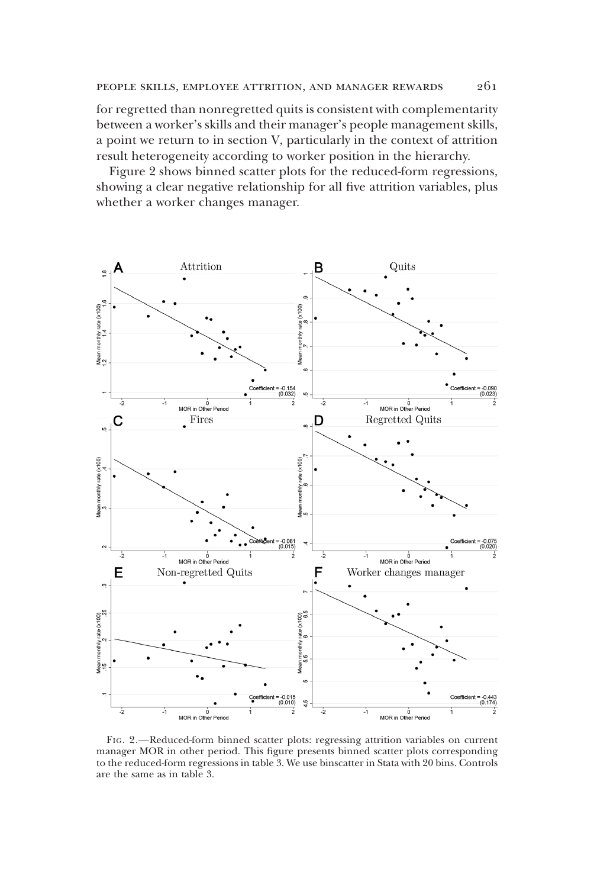for regretted than nonregretted quits is consistent with complementarity between a worker's skills and their manager's people management skills, a point we return to in section V, particularly in the context of attrition result heterogeneity according to worker position in the hierarchy.

Figure 2 shows binned scatter plots for the reduced-form regressions, showing a clear negative relationship for all five attrition variables, plus whether a worker changes manager.



FIG. 2.—Reduced-form binned scatter plots: regressing attrition variables on current manager MOR in other period. This figure presents binned scatter plots corresponding to the reduced-form regressions in table 3. We use binscatter in Stata with 20 bins. Controls are the same as in table 3.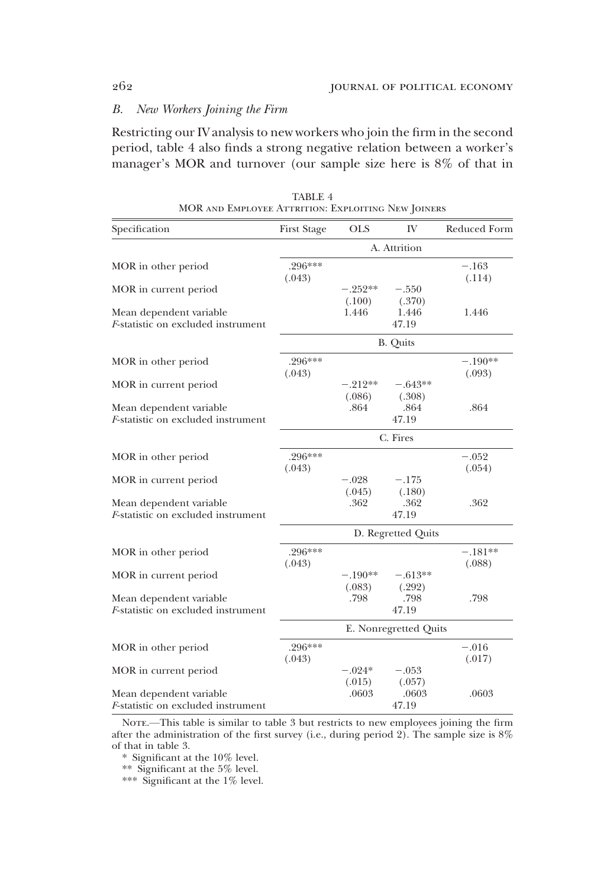# B. New Workers Joining the Firm

Restricting our IV analysis to new workers who join the firm in the second period, table 4 also finds a strong negative relation between a worker's manager's MOR and turnover (our sample size here is 8% of that in

| Specification                                                         | <b>First Stage</b>  | <b>OLS</b>            | IV                  | Reduced Form        |  |  |
|-----------------------------------------------------------------------|---------------------|-----------------------|---------------------|---------------------|--|--|
|                                                                       |                     | A. Attrition          |                     |                     |  |  |
| MOR in other period                                                   | $.296***$<br>(.043) |                       |                     | $-.163$<br>(.114)   |  |  |
| MOR in current period                                                 |                     | $-.252**$<br>(.100)   | $-.550$<br>(.370)   |                     |  |  |
| Mean dependent variable<br>F-statistic on excluded instrument         |                     | 1.446                 | 1.446<br>47.19      | 1.446               |  |  |
|                                                                       |                     |                       | <b>B.</b> Quits     |                     |  |  |
| MOR in other period                                                   | .296***<br>(.043)   |                       |                     | $-.190**$<br>(.093) |  |  |
| MOR in current period                                                 |                     | $-.212**$<br>(.086)   | $-.643**$<br>(.308) |                     |  |  |
| Mean dependent variable<br>F-statistic on excluded instrument         |                     | .864                  | .864<br>47.19       | .864                |  |  |
|                                                                       |                     |                       |                     |                     |  |  |
| MOR in other period                                                   | $.296***$<br>(.043) |                       |                     | $-.052$<br>(.054)   |  |  |
| MOR in current period                                                 |                     | $-.028$<br>(.045)     | $-.175$<br>(.180)   |                     |  |  |
| Mean dependent variable<br><i>F</i> -statistic on excluded instrument |                     | .362                  | .362<br>47.19       | .362                |  |  |
|                                                                       |                     |                       | D. Regretted Quits  |                     |  |  |
| MOR in other period                                                   | .296***<br>(.043)   |                       |                     | $-.181**$<br>(.088) |  |  |
| MOR in current period                                                 |                     | $-.190**$<br>(.083)   | $-.613**$<br>(.292) |                     |  |  |
| Mean dependent variable<br><i>F</i> -statistic on excluded instrument |                     | .798                  | .798<br>47.19       | .798                |  |  |
|                                                                       |                     | E. Nonregretted Quits |                     |                     |  |  |
| MOR in other period                                                   | .296***<br>(.043)   |                       |                     | $-.016$<br>(.017)   |  |  |
| MOR in current period                                                 |                     | $-.024*$<br>(.015)    | $-.053$<br>(.057)   |                     |  |  |
| Mean dependent variable<br>F-statistic on excluded instrument         |                     | .0603                 | .0603<br>47.19      | .0603               |  |  |

TABLE 4 MOR and Employee Attrition: Exploiting New Joiners

NOTE.—This table is similar to table 3 but restricts to new employees joining the firm after the administration of the first survey (i.e., during period 2). The sample size is 8% of that in table 3.

\* Significant at the 10% level.

\*\* Significant at the 5% level.

\*\*\* Significant at the 1% level.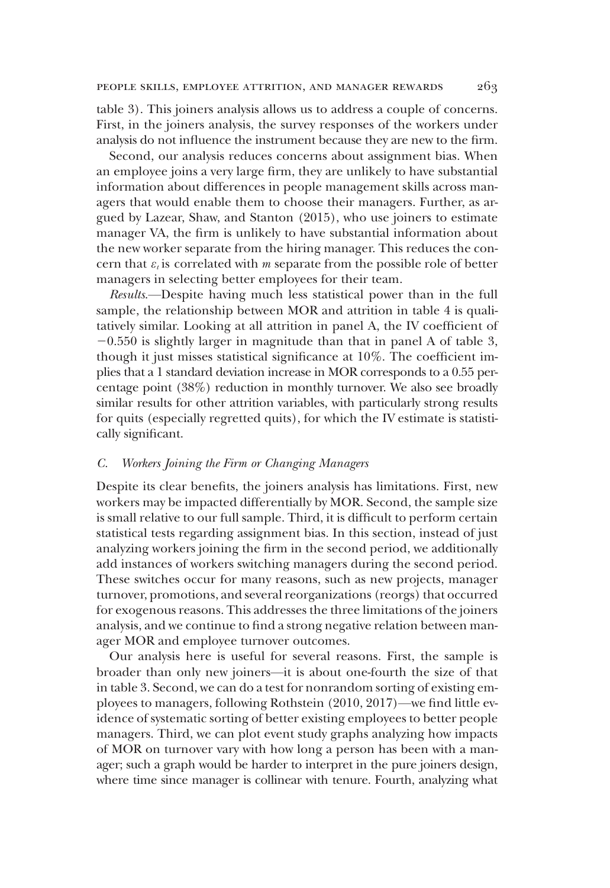table 3). This joiners analysis allows us to address a couple of concerns. First, in the joiners analysis, the survey responses of the workers under analysis do not influence the instrument because they are new to the firm.

Second, our analysis reduces concerns about assignment bias. When an employee joins a very large firm, they are unlikely to have substantial information about differences in people management skills across managers that would enable them to choose their managers. Further, as argued by Lazear, Shaw, and Stanton (2015), who use joiners to estimate manager VA, the firm is unlikely to have substantial information about the new worker separate from the hiring manager. This reduces the concern that  $\varepsilon_t$  is correlated with *m* separate from the possible role of better managers in selecting better employees for their team.

Results.—Despite having much less statistical power than in the full sample, the relationship between MOR and attrition in table 4 is qualitatively similar. Looking at all attrition in panel A, the IV coefficient of  $-0.550$  is slightly larger in magnitude than that in panel A of table 3, though it just misses statistical significance at 10%. The coefficient implies that a 1 standard deviation increase in MOR corresponds to a 0.55 percentage point (38%) reduction in monthly turnover. We also see broadly similar results for other attrition variables, with particularly strong results for quits (especially regretted quits), for which the IV estimate is statistically significant.

# C. Workers Joining the Firm or Changing Managers

Despite its clear benefits, the joiners analysis has limitations. First, new workers may be impacted differentially by MOR. Second, the sample size is small relative to our full sample. Third, it is difficult to perform certain statistical tests regarding assignment bias. In this section, instead of just analyzing workers joining the firm in the second period, we additionally add instances of workers switching managers during the second period. These switches occur for many reasons, such as new projects, manager turnover, promotions, and several reorganizations (reorgs) that occurred for exogenous reasons. This addresses the three limitations of the joiners analysis, and we continue to find a strong negative relation between manager MOR and employee turnover outcomes.

Our analysis here is useful for several reasons. First, the sample is broader than only new joiners—it is about one-fourth the size of that in table 3. Second, we can do a test for nonrandom sorting of existing employees to managers, following Rothstein (2010, 2017)—we find little evidence of systematic sorting of better existing employees to better people managers. Third, we can plot event study graphs analyzing how impacts of MOR on turnover vary with how long a person has been with a manager; such a graph would be harder to interpret in the pure joiners design, where time since manager is collinear with tenure. Fourth, analyzing what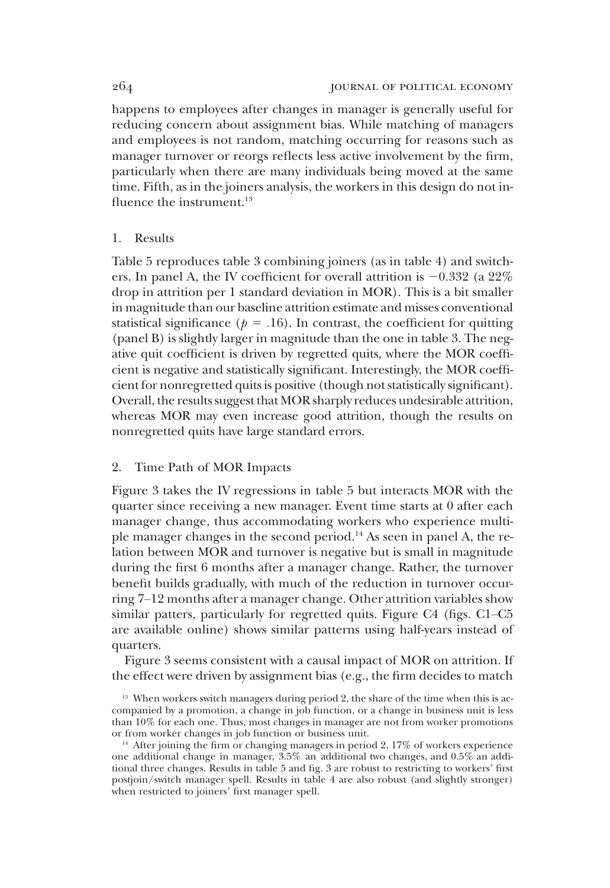happens to employees after changes in manager is generally useful for reducing concern about assignment bias. While matching of managers and employees is not random, matching occurring for reasons such as manager turnover or reorgs reflects less active involvement by the firm, particularly when there are many individuals being moved at the same time. Fifth, as in the joiners analysis, the workers in this design do not influence the instrument.<sup>13</sup>

# 1. Results

Table 5 reproduces table 3 combining joiners (as in table 4) and switchers. In panel A, the IV coefficient for overall attrition is  $-0.332$  (a  $22\%$ ) drop in attrition per 1 standard deviation in MOR). This is a bit smaller in magnitude than our baseline attrition estimate and misses conventional statistical significance ( $p = .16$ ). In contrast, the coefficient for quitting (panel B) is slightly larger in magnitude than the one in table 3. The negative quit coefficient is driven by regretted quits, where the MOR coefficient is negative and statistically significant. Interestingly, the MOR coefficient for nonregretted quits is positive (though not statistically significant). Overall, the results suggest that MOR sharply reduces undesirable attrition, whereas MOR may even increase good attrition, though the results on nonregretted quits have large standard errors.

#### 2. Time Path of MOR Impacts

Figure 3 takes the IV regressions in table 5 but interacts MOR with the quarter since receiving a new manager. Event time starts at 0 after each manager change, thus accommodating workers who experience multiple manager changes in the second period.14 As seen in panel A, the relation between MOR and turnover is negative but is small in magnitude during the first 6 months after a manager change. Rather, the turnover benefit builds gradually, with much of the reduction in turnover occurring 7–12 months after a manager change. Other attrition variables show similar patters, particularly for regretted quits. Figure C4 (figs. C1–C5 are available online) shows similar patterns using half-years instead of quarters.

Figure 3 seems consistent with a causal impact of MOR on attrition. If the effect were driven by assignment bias (e.g., the firm decides to match

 $13$  When workers switch managers during period 2, the share of the time when this is accompanied by a promotion, a change in job function, or a change in business unit is less than 10% for each one. Thus, most changes in manager are not from worker promotions or from worker changes in job function or business unit.

<sup>&</sup>lt;sup>14</sup> After joining the firm or changing managers in period 2, 17% of workers experience one additional change in manager, 3.5% an additional two changes, and 0.5% an additional three changes. Results in table 5 and fig. 3 are robust to restricting to workers' first postjoin/switch manager spell. Results in table 4 are also robust (and slightly stronger) when restricted to joiners' first manager spell.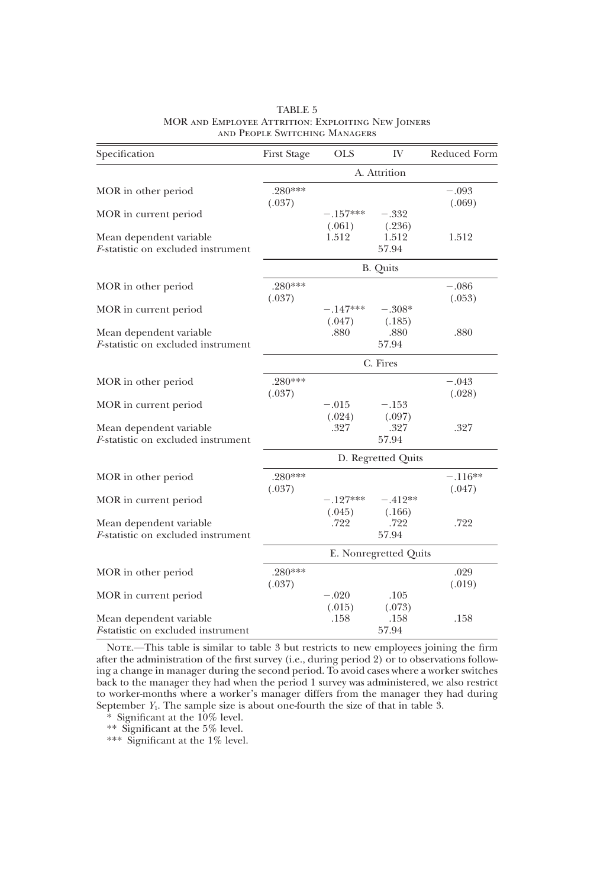| Specification                                                         | <b>First Stage</b>  | <b>OLS</b>            | IV                  | Reduced Form        |  |  |
|-----------------------------------------------------------------------|---------------------|-----------------------|---------------------|---------------------|--|--|
|                                                                       |                     | A. Attrition          |                     |                     |  |  |
| MOR in other period                                                   | $.280***$<br>(.037) |                       |                     | $-.093$<br>(.069)   |  |  |
| MOR in current period                                                 |                     | $-.157***$<br>(.061)  | $-.332$<br>(.236)   |                     |  |  |
| Mean dependent variable<br><i>F</i> -statistic on excluded instrument |                     | 1.512                 | 1.512<br>57.94      | 1.512               |  |  |
|                                                                       |                     |                       | <b>B.</b> Quits     |                     |  |  |
| MOR in other period                                                   | $.280***$<br>(.037) |                       |                     | $-.086$<br>(.053)   |  |  |
| MOR in current period                                                 |                     | $-.147***$<br>(.047)  | $-.308*$<br>(.185)  |                     |  |  |
| Mean dependent variable<br><i>F</i> -statistic on excluded instrument |                     | .880                  | .880<br>57.94       | .880                |  |  |
|                                                                       |                     | C. Fires              |                     |                     |  |  |
| MOR in other period                                                   | $.280***$<br>(.037) |                       |                     | $-.043$<br>(.028)   |  |  |
| MOR in current period                                                 |                     | $-.015$<br>(.024)     | $-.153$<br>(.097)   |                     |  |  |
| Mean dependent variable<br><i>F</i> -statistic on excluded instrument |                     | .327                  | .327<br>57.94       | .327                |  |  |
|                                                                       |                     |                       | D. Regretted Quits  |                     |  |  |
| MOR in other period                                                   | $.280***$<br>(.037) |                       |                     | $-.116**$<br>(.047) |  |  |
| MOR in current period                                                 |                     | $-.127***$<br>(.045)  | $-.412**$<br>(.166) |                     |  |  |
| Mean dependent variable<br><i>F</i> -statistic on excluded instrument |                     | .722                  | .722<br>57.94       | .722                |  |  |
|                                                                       |                     | E. Nonregretted Quits |                     |                     |  |  |
| MOR in other period                                                   | $.280***$<br>(.037) |                       |                     | .029<br>(.019)      |  |  |
| MOR in current period                                                 |                     | $-.020$<br>(.015)     | .105<br>(.073)      |                     |  |  |
| Mean dependent variable<br><i>F</i> -statistic on excluded instrument |                     | .158                  | .158<br>57.94       | .158                |  |  |

#### TABLE 5 MOR and Employee Attrition: Exploiting New Joiners and People Switching Managers

NOTE.—This table is similar to table 3 but restricts to new employees joining the firm after the administration of the first survey (i.e., during period 2) or to observations following a change in manager during the second period. To avoid cases where a worker switches back to the manager they had when the period 1 survey was administered, we also restrict to worker-months where a worker's manager differs from the manager they had during September  $Y_1$ . The sample size is about one-fourth the size of that in table 3.

\* Significant at the 10% level.

\*\* Significant at the 5% level.

\*\*\* Significant at the 1% level.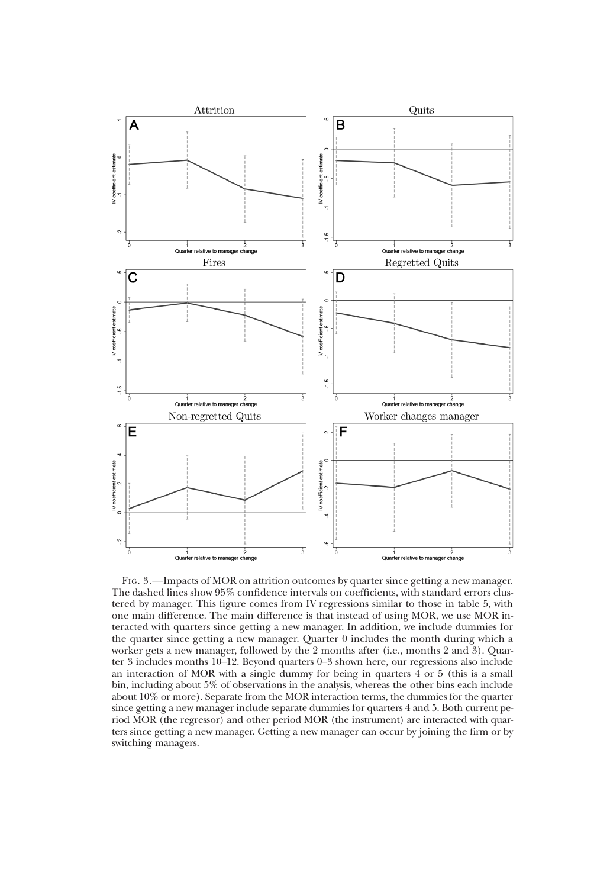

FIG. 3.—Impacts of MOR on attrition outcomes by quarter since getting a new manager. The dashed lines show 95% confidence intervals on coefficients, with standard errors clustered by manager. This figure comes from IV regressions similar to those in table 5, with one main difference. The main difference is that instead of using MOR, we use MOR interacted with quarters since getting a new manager. In addition, we include dummies for the quarter since getting a new manager. Quarter 0 includes the month during which a worker gets a new manager, followed by the 2 months after (i.e., months 2 and 3). Quarter 3 includes months 10–12. Beyond quarters 0–3 shown here, our regressions also include an interaction of MOR with a single dummy for being in quarters 4 or 5 (this is a small bin, including about 5% of observations in the analysis, whereas the other bins each include about 10% or more). Separate from the MOR interaction terms, the dummies for the quarter since getting a new manager include separate dummies for quarters 4 and 5. Both current period MOR (the regressor) and other period MOR (the instrument) are interacted with quarters since getting a new manager. Getting a new manager can occur by joining the firm or by switching managers.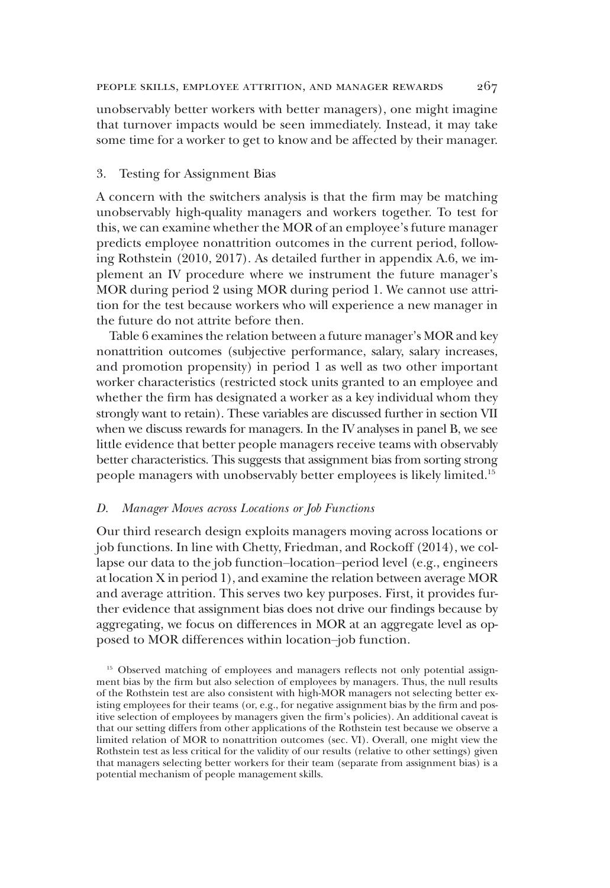unobservably better workers with better managers), one might imagine that turnover impacts would be seen immediately. Instead, it may take some time for a worker to get to know and be affected by their manager.

# 3. Testing for Assignment Bias

A concern with the switchers analysis is that the firm may be matching unobservably high-quality managers and workers together. To test for this, we can examine whether the MOR of an employee's future manager predicts employee nonattrition outcomes in the current period, following Rothstein (2010, 2017). As detailed further in appendix A.6, we implement an IV procedure where we instrument the future manager's MOR during period 2 using MOR during period 1. We cannot use attrition for the test because workers who will experience a new manager in the future do not attrite before then.

Table 6 examines the relation between a future manager's MOR and key nonattrition outcomes (subjective performance, salary, salary increases, and promotion propensity) in period 1 as well as two other important worker characteristics (restricted stock units granted to an employee and whether the firm has designated a worker as a key individual whom they strongly want to retain). These variables are discussed further in section VII when we discuss rewards for managers. In the IV analyses in panel B, we see little evidence that better people managers receive teams with observably better characteristics. This suggests that assignment bias from sorting strong people managers with unobservably better employees is likely limited.15

#### D. Manager Moves across Locations or Job Functions

Our third research design exploits managers moving across locations or job functions. In line with Chetty, Friedman, and Rockoff (2014), we collapse our data to the job function–location–period level (e.g., engineers at location X in period 1), and examine the relation between average MOR and average attrition. This serves two key purposes. First, it provides further evidence that assignment bias does not drive our findings because by aggregating, we focus on differences in MOR at an aggregate level as opposed to MOR differences within location–job function.

<sup>15</sup> Observed matching of employees and managers reflects not only potential assignment bias by the firm but also selection of employees by managers. Thus, the null results of the Rothstein test are also consistent with high-MOR managers not selecting better existing employees for their teams (or, e.g., for negative assignment bias by the firm and positive selection of employees by managers given the firm's policies). An additional caveat is that our setting differs from other applications of the Rothstein test because we observe a limited relation of MOR to nonattrition outcomes (sec. VI). Overall, one might view the Rothstein test as less critical for the validity of our results (relative to other settings) given that managers selecting better workers for their team (separate from assignment bias) is a potential mechanism of people management skills.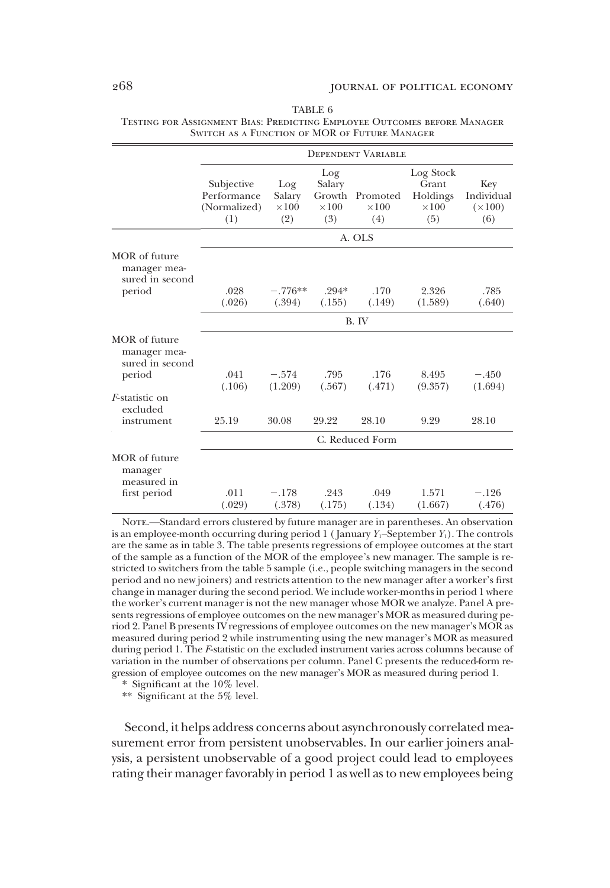|                                                            |                                                  | <b>DEPENDENT VARIABLE</b>            |                                                |                                 |                                                       |                                            |  |  |  |  |
|------------------------------------------------------------|--------------------------------------------------|--------------------------------------|------------------------------------------------|---------------------------------|-------------------------------------------------------|--------------------------------------------|--|--|--|--|
|                                                            | Subjective<br>Performance<br>(Normalized)<br>(1) | Log<br>Salary<br>$\times 100$<br>(2) | Log<br>Salary<br>Growth<br>$\times$ 100<br>(3) | Promoted<br>$\times 100$<br>(4) | Log Stock<br>Grant<br>Holdings<br>$\times 100$<br>(5) | Key<br>Individual<br>$(\times 100)$<br>(6) |  |  |  |  |
|                                                            |                                                  |                                      |                                                | A. OLS                          |                                                       |                                            |  |  |  |  |
| MOR of future<br>manager mea-<br>sured in second           |                                                  |                                      |                                                |                                 |                                                       |                                            |  |  |  |  |
| period                                                     | .028<br>(.026)                                   | $-.776**$<br>(.394)                  | $.294*$<br>(.155)                              | .170<br>(.149)                  | 2.326<br>(1.589)                                      | .785<br>(.640)                             |  |  |  |  |
|                                                            |                                                  |                                      |                                                | B. IV                           |                                                       |                                            |  |  |  |  |
| MOR of future<br>manager mea-<br>sured in second<br>period | .041                                             | $-.574$                              | .795                                           | .176                            | 8.495                                                 | $-.450$                                    |  |  |  |  |
|                                                            | (.106)                                           | (1.209)                              | (.567)                                         | (.471)                          | (9.357)                                               | (1.694)                                    |  |  |  |  |
| <i>F</i> -statistic on<br>excluded                         |                                                  |                                      |                                                |                                 |                                                       |                                            |  |  |  |  |
| instrument                                                 | 25.19                                            | 30.08                                | 29.22                                          | 28.10                           | 9.29                                                  | 28.10                                      |  |  |  |  |
|                                                            |                                                  |                                      |                                                | C. Reduced Form                 |                                                       |                                            |  |  |  |  |
| MOR of future<br>manager<br>measured in                    |                                                  |                                      |                                                |                                 |                                                       |                                            |  |  |  |  |
| first period                                               | .011<br>(.029)                                   | $-.178$<br>(.378)                    | .243<br>(.175)                                 | .049<br>(.134)                  | 1.571<br>(1.667)                                      | $-.126$<br>(.476)                          |  |  |  |  |

TABLE 6 Testing for Assignment Bias: Predicting Employee Outcomes before Manager Switch as a Function of MOR of Future Manager

NOTE.—Standard errors clustered by future manager are in parentheses. An observation is an employee-month occurring during period 1 (January  $Y_1$ –September  $Y_1$ ). The controls are the same as in table 3. The table presents regressions of employee outcomes at the start of the sample as a function of the MOR of the employee's new manager. The sample is restricted to switchers from the table 5 sample (i.e., people switching managers in the second period and no new joiners) and restricts attention to the new manager after a worker's first change in manager during the second period. We include worker-months in period 1 where the worker's current manager is not the new manager whose MOR we analyze. Panel A presents regressions of employee outcomes on the new manager's MOR as measured during period 2. Panel B presents IV regressions of employee outcomes on the new manager's MOR as measured during period 2 while instrumenting using the new manager's MOR as measured during period 1. The F-statistic on the excluded instrument varies across columns because of variation in the number of observations per column. Panel C presents the reduced-form regression of employee outcomes on the new manager's MOR as measured during period 1.

\* Significant at the 10% level. \*\* Significant at the 5% level.

Second, it helps address concerns about asynchronously correlated measurement error from persistent unobservables. In our earlier joiners analysis, a persistent unobservable of a good project could lead to employees rating their manager favorably in period 1 as well as to new employees being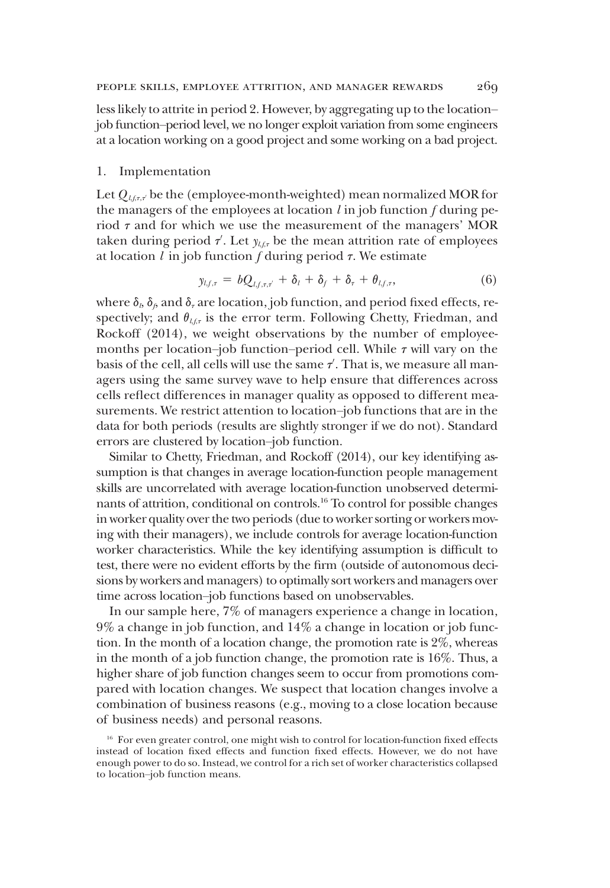less likely to attrite in period 2. However, by aggregating up to the location– job function–period level, we no longer exploit variation from some engineers at a location working on a good project and some working on a bad project.

#### 1. Implementation

Let  $Q_{l,f,\tau,\tau}$  be the (employee-month-weighted) mean normalized MOR for the managers of the employees at location  $l$  in job function  $f$  during period  $\tau$  and for which we use the measurement of the managers' MOR taken during period  $\tau'$ . Let  $y_{t,f,\tau}$  be the mean attrition rate of employees at location  $l$  in job function  $f$  during period  $\tau$ . We estimate

$$
y_{l,f,\tau} = bQ_{l,f,\tau,\tau'} + \delta_l + \delta_f + \delta_\tau + \theta_{l,f,\tau}, \tag{6}
$$

where  $\delta_b$ ,  $\delta_\beta$  and  $\delta_\tau$  are location, job function, and period fixed effects, respectively; and  $\theta_{\ell,\ell,\tau}$  is the error term. Following Chetty, Friedman, and Rockoff (2014), we weight observations by the number of employeemonths per location–job function–period cell. While  $\tau$  will vary on the basis of the cell, all cells will use the same  $\tau'$ . That is, we measure all managers using the same survey wave to help ensure that differences across cells reflect differences in manager quality as opposed to different measurements. We restrict attention to location–job functions that are in the data for both periods (results are slightly stronger if we do not). Standard errors are clustered by location–job function.

Similar to Chetty, Friedman, and Rockoff (2014), our key identifying assumption is that changes in average location-function people management skills are uncorrelated with average location-function unobserved determinants of attrition, conditional on controls.16 To control for possible changes in worker quality over the two periods (due to worker sorting or workers moving with their managers), we include controls for average location-function worker characteristics. While the key identifying assumption is difficult to test, there were no evident efforts by the firm (outside of autonomous decisions by workers and managers) to optimally sort workers and managers over time across location–job functions based on unobservables.

In our sample here, 7% of managers experience a change in location, 9% a change in job function, and 14% a change in location or job function. In the month of a location change, the promotion rate is 2%, whereas in the month of a job function change, the promotion rate is 16%. Thus, a higher share of job function changes seem to occur from promotions compared with location changes. We suspect that location changes involve a combination of business reasons (e.g., moving to a close location because of business needs) and personal reasons.

<sup>&</sup>lt;sup>16</sup> For even greater control, one might wish to control for location-function fixed effects instead of location fixed effects and function fixed effects. However, we do not have enough power to do so. Instead, we control for a rich set of worker characteristics collapsed to location–job function means.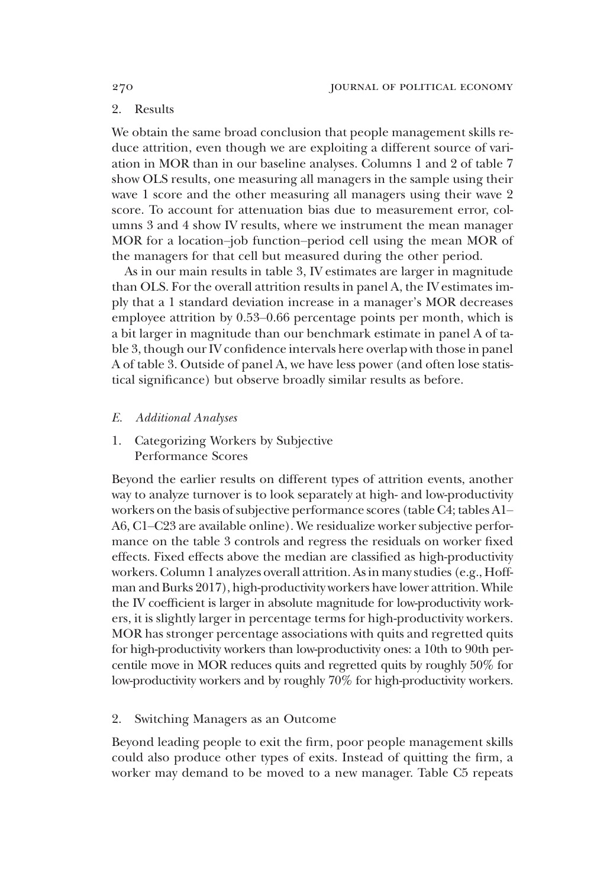# 2. Results

We obtain the same broad conclusion that people management skills reduce attrition, even though we are exploiting a different source of variation in MOR than in our baseline analyses. Columns 1 and 2 of table 7 show OLS results, one measuring all managers in the sample using their wave 1 score and the other measuring all managers using their wave 2 score. To account for attenuation bias due to measurement error, columns 3 and 4 show IV results, where we instrument the mean manager MOR for a location–job function–period cell using the mean MOR of the managers for that cell but measured during the other period.

As in our main results in table 3, IV estimates are larger in magnitude than OLS. For the overall attrition results in panel A, the IV estimates imply that a 1 standard deviation increase in a manager's MOR decreases employee attrition by 0.53–0.66 percentage points per month, which is a bit larger in magnitude than our benchmark estimate in panel A of table 3, though our IV confidence intervals here overlap with those in panel A of table 3. Outside of panel A, we have less power (and often lose statistical significance) but observe broadly similar results as before.

- E. Additional Analyses
- 1. Categorizing Workers by Subjective Performance Scores

Beyond the earlier results on different types of attrition events, another way to analyze turnover is to look separately at high- and low-productivity workers on the basis of subjective performance scores (table C4; tables A1– A6, C1–C23 are available online). We residualize worker subjective performance on the table 3 controls and regress the residuals on worker fixed effects. Fixed effects above the median are classified as high-productivity workers. Column 1 analyzes overall attrition. As in many studies (e.g., Hoffman and Burks 2017), high-productivity workers have lower attrition. While the IV coefficient is larger in absolute magnitude for low-productivity workers, it is slightly larger in percentage terms for high-productivity workers. MOR has stronger percentage associations with quits and regretted quits for high-productivity workers than low-productivity ones: a 10th to 90th percentile move in MOR reduces quits and regretted quits by roughly 50% for low-productivity workers and by roughly 70% for high-productivity workers.

# 2. Switching Managers as an Outcome

Beyond leading people to exit the firm, poor people management skills could also produce other types of exits. Instead of quitting the firm, a worker may demand to be moved to a new manager. Table C5 repeats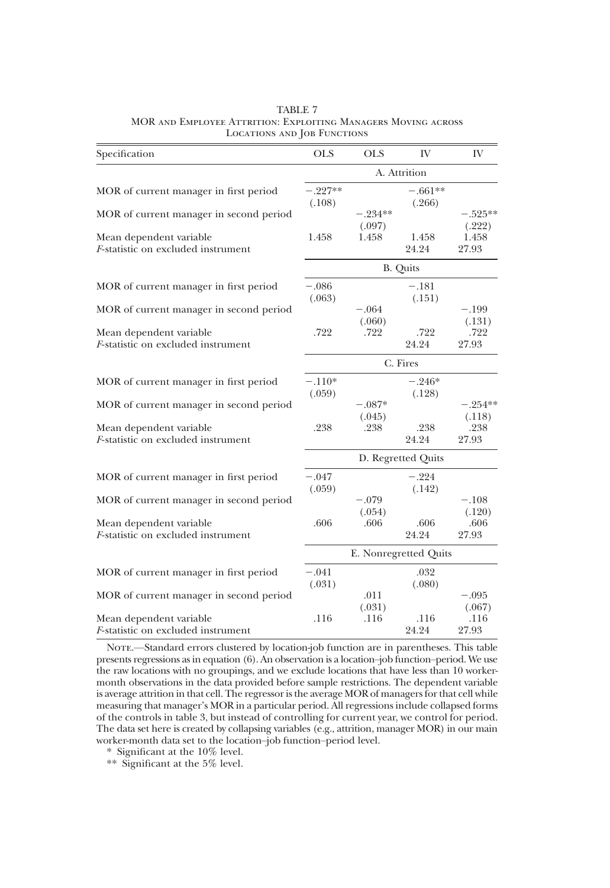| Specification                                                         | <b>OLS</b>          | <b>OLS</b>          | IV                    | IV                  |  |  |
|-----------------------------------------------------------------------|---------------------|---------------------|-----------------------|---------------------|--|--|
|                                                                       | A. Attrition        |                     |                       |                     |  |  |
| MOR of current manager in first period                                | $-.227**$<br>(.108) |                     | $-.661**$<br>(.266)   |                     |  |  |
| MOR of current manager in second period                               |                     | $-.234**$<br>(.097) |                       | $-.525**$<br>(.222) |  |  |
| Mean dependent variable<br><i>F</i> -statistic on excluded instrument | 1.458               | 1.458               | 1.458<br>24.24        | 1.458<br>27.93      |  |  |
|                                                                       |                     |                     | <b>B.</b> Quits       |                     |  |  |
| MOR of current manager in first period                                | $-.086$<br>(.063)   |                     | $-.181$<br>(.151)     |                     |  |  |
| MOR of current manager in second period                               |                     | $-.064$<br>(.060)   |                       | $-.199$<br>(.131)   |  |  |
| Mean dependent variable<br><i>F</i> -statistic on excluded instrument | .722                | .722                | .722<br>24.24         | .722<br>27.93       |  |  |
|                                                                       | C. Fires            |                     |                       |                     |  |  |
| MOR of current manager in first period                                | $-.110*$<br>(.059)  |                     | $-.246*$<br>(.128)    |                     |  |  |
| MOR of current manager in second period                               |                     | $-.087*$<br>(.045)  |                       | $-.254**$<br>(.118) |  |  |
| Mean dependent variable<br><i>F</i> -statistic on excluded instrument | .238                | .238                | .238<br>24.24         | .238<br>27.93       |  |  |
|                                                                       |                     |                     | D. Regretted Quits    |                     |  |  |
| MOR of current manager in first period                                | $-.047$<br>(.059)   |                     | $-.224$<br>(.142)     |                     |  |  |
| MOR of current manager in second period                               |                     | $-.079$<br>(.054)   |                       | $-.108$<br>(.120)   |  |  |
| Mean dependent variable<br>F-statistic on excluded instrument         | .606                | .606                | .606<br>24.24         | .606<br>27.93       |  |  |
|                                                                       |                     |                     | E. Nonregretted Quits |                     |  |  |
| MOR of current manager in first period                                | $-.041$<br>(.031)   |                     | .032<br>(.080)        |                     |  |  |
| MOR of current manager in second period                               |                     | .011<br>(.031)      |                       | $-.095$<br>(.067)   |  |  |
| Mean dependent variable<br>F-statistic on excluded instrument         | .116                | .116                | .116<br>24.24         | .116<br>27.93       |  |  |

TABLE 7 MOR and Employee Attrition: Exploiting Managers Moving across LOCATIONS AND JOB FUNCTIONS

NOTE.—Standard errors clustered by location-job function are in parentheses. This table presents regressions as in equation (6). An observation is a location–job function–period. We use the raw locations with no groupings, and we exclude locations that have less than 10 workermonth observations in the data provided before sample restrictions. The dependent variable is average attrition in that cell. The regressor is the average MOR of managers for that cell while measuring that manager's MOR in a particular period. All regressions include collapsed forms of the controls in table 3, but instead of controlling for current year, we control for period. The data set here is created by collapsing variables (e.g., attrition, manager MOR) in our main worker-month data set to the location–job function–period level.

\* Significant at the 10% level.

\*\* Significant at the 5% level.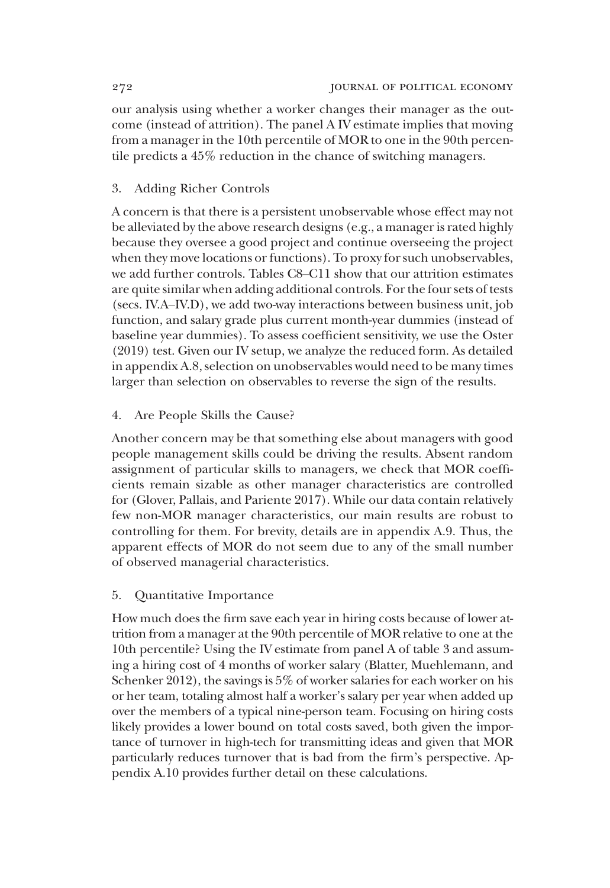our analysis using whether a worker changes their manager as the outcome (instead of attrition). The panel A IV estimate implies that moving from a manager in the 10th percentile of MOR to one in the 90th percentile predicts a 45% reduction in the chance of switching managers.

# 3. Adding Richer Controls

A concern is that there is a persistent unobservable whose effect may not be alleviated by the above research designs (e.g., a manager is rated highly because they oversee a good project and continue overseeing the project when they move locations or functions). To proxy for such unobservables, we add further controls. Tables C8–C11 show that our attrition estimates are quite similar when adding additional controls. For the four sets of tests (secs. IV.A–IV.D), we add two-way interactions between business unit, job function, and salary grade plus current month-year dummies (instead of baseline year dummies). To assess coefficient sensitivity, we use the Oster (2019) test. Given our IV setup, we analyze the reduced form. As detailed in appendix A.8, selection on unobservables would need to be many times larger than selection on observables to reverse the sign of the results.

# 4. Are People Skills the Cause?

Another concern may be that something else about managers with good people management skills could be driving the results. Absent random assignment of particular skills to managers, we check that MOR coefficients remain sizable as other manager characteristics are controlled for (Glover, Pallais, and Pariente 2017). While our data contain relatively few non-MOR manager characteristics, our main results are robust to controlling for them. For brevity, details are in appendix A.9. Thus, the apparent effects of MOR do not seem due to any of the small number of observed managerial characteristics.

# 5. Quantitative Importance

How much does the firm save each year in hiring costs because of lower attrition from a manager at the 90th percentile of MOR relative to one at the 10th percentile? Using the IV estimate from panel A of table 3 and assuming a hiring cost of 4 months of worker salary (Blatter, Muehlemann, and Schenker 2012), the savings is 5% of worker salaries for each worker on his or her team, totaling almost half a worker's salary per year when added up over the members of a typical nine-person team. Focusing on hiring costs likely provides a lower bound on total costs saved, both given the importance of turnover in high-tech for transmitting ideas and given that MOR particularly reduces turnover that is bad from the firm's perspective. Appendix A.10 provides further detail on these calculations.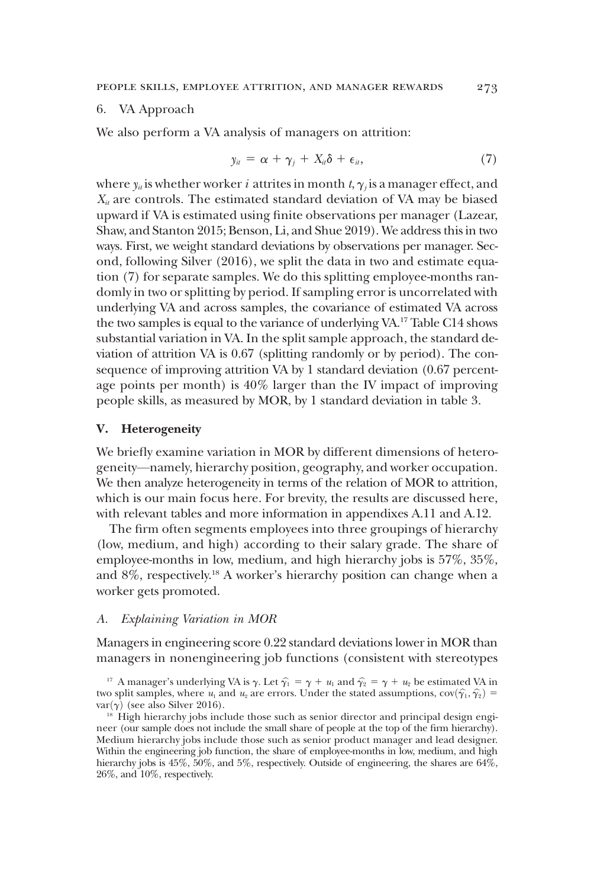#### 6. VA Approach

We also perform a VA analysis of managers on attrition:

$$
y_{it} = \alpha + \gamma_j + X_{it}\delta + \epsilon_{it}, \qquad (7)
$$

where  $y_i$  is whether worker *i* attrites in month t,  $\gamma_i$  is a manager effect, and  $X_{it}$  are controls. The estimated standard deviation of VA may be biased upward if VA is estimated using finite observations per manager (Lazear, Shaw, and Stanton 2015; Benson, Li, and Shue 2019). We address this in two ways. First, we weight standard deviations by observations per manager. Second, following Silver (2016), we split the data in two and estimate equation (7) for separate samples. We do this splitting employee-months randomly in two or splitting by period. If sampling error is uncorrelated with underlying VA and across samples, the covariance of estimated VA across the two samples is equal to the variance of underlying VA.17 Table C14 shows substantial variation in VA. In the split sample approach, the standard deviation of attrition VA is 0.67 (splitting randomly or by period). The consequence of improving attrition VA by 1 standard deviation (0.67 percentage points per month) is 40% larger than the IV impact of improving people skills, as measured by MOR, by 1 standard deviation in table 3.

#### V. Heterogeneity

We briefly examine variation in MOR by different dimensions of heterogeneity—namely, hierarchy position, geography, and worker occupation. We then analyze heterogeneity in terms of the relation of MOR to attrition, which is our main focus here. For brevity, the results are discussed here, with relevant tables and more information in appendixes A.11 and A.12.

The firm often segments employees into three groupings of hierarchy (low, medium, and high) according to their salary grade. The share of employee-months in low, medium, and high hierarchy jobs is 57%, 35%, and  $8\%$ , respectively.<sup>18</sup> A worker's hierarchy position can change when a worker gets promoted.

#### A. Explaining Variation in MOR

Managers in engineering score 0.22 standard deviations lower in MOR than managers in nonengineering job functions (consistent with stereotypes

<sup>17</sup> A manager's underlying VA is  $\gamma$ . Let  $\hat{\gamma}_1 = \gamma + u_1$  and  $\hat{\gamma}_2 = \gamma + u_2$  be estimated VA in two split samples, where  $u_1$  and  $u_2$  are errors. Under the stated assumptions,  $cov(\hat{\gamma}_1, \hat{\gamma}_2) = var(\gamma)$  (see also Silver 2016).

<sup>&</sup>lt;sup>18</sup> High hierarchy jobs include those such as senior director and principal design engineer (our sample does not include the small share of people at the top of the firm hierarchy). Medium hierarchy jobs include those such as senior product manager and lead designer. Within the engineering job function, the share of employee-months in low, medium, and high hierarchy jobs is  $45\%, 50\%,$  and  $5\%,$  respectively. Outside of engineering, the shares are  $64\%$ , 26%, and 10%, respectively.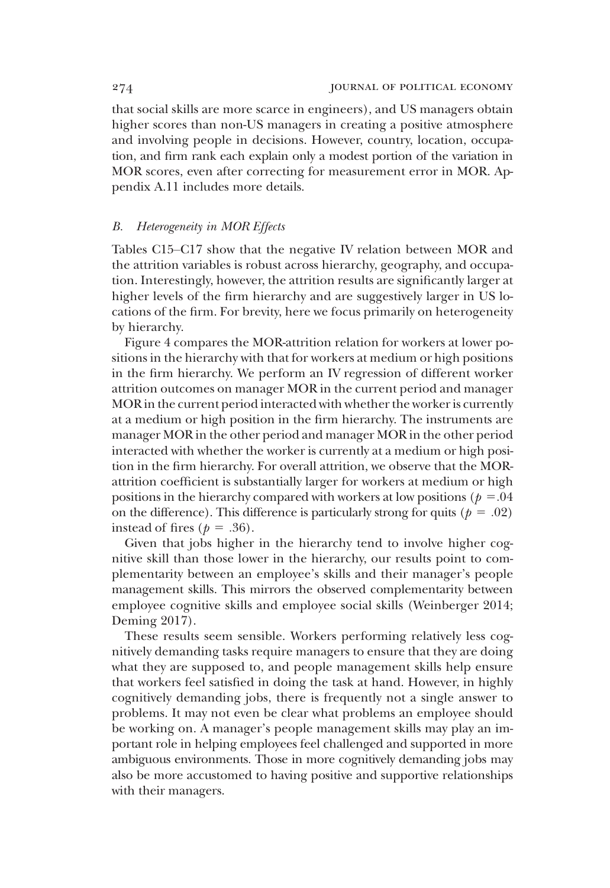that social skills are more scarce in engineers), and US managers obtain higher scores than non-US managers in creating a positive atmosphere and involving people in decisions. However, country, location, occupation, and firm rank each explain only a modest portion of the variation in MOR scores, even after correcting for measurement error in MOR. Appendix A.11 includes more details.

# B. Heterogeneity in MOR Effects

Tables C15–C17 show that the negative IV relation between MOR and the attrition variables is robust across hierarchy, geography, and occupation. Interestingly, however, the attrition results are significantly larger at higher levels of the firm hierarchy and are suggestively larger in US locations of the firm. For brevity, here we focus primarily on heterogeneity by hierarchy.

Figure 4 compares the MOR-attrition relation for workers at lower positions in the hierarchy with that for workers at medium or high positions in the firm hierarchy. We perform an IV regression of different worker attrition outcomes on manager MOR in the current period and manager MOR in the current period interacted with whether the worker is currently at a medium or high position in the firm hierarchy. The instruments are manager MOR in the other period and manager MOR in the other period interacted with whether the worker is currently at a medium or high position in the firm hierarchy. For overall attrition, we observe that the MORattrition coefficient is substantially larger for workers at medium or high positions in the hierarchy compared with workers at low positions ( $p = .04$ ) on the difference). This difference is particularly strong for quits ( $p = .02$ ) instead of fires ( $p = .36$ ).

Given that jobs higher in the hierarchy tend to involve higher cognitive skill than those lower in the hierarchy, our results point to complementarity between an employee's skills and their manager's people management skills. This mirrors the observed complementarity between employee cognitive skills and employee social skills (Weinberger 2014; Deming 2017).

These results seem sensible. Workers performing relatively less cognitively demanding tasks require managers to ensure that they are doing what they are supposed to, and people management skills help ensure that workers feel satisfied in doing the task at hand. However, in highly cognitively demanding jobs, there is frequently not a single answer to problems. It may not even be clear what problems an employee should be working on. A manager's people management skills may play an important role in helping employees feel challenged and supported in more ambiguous environments. Those in more cognitively demanding jobs may also be more accustomed to having positive and supportive relationships with their managers.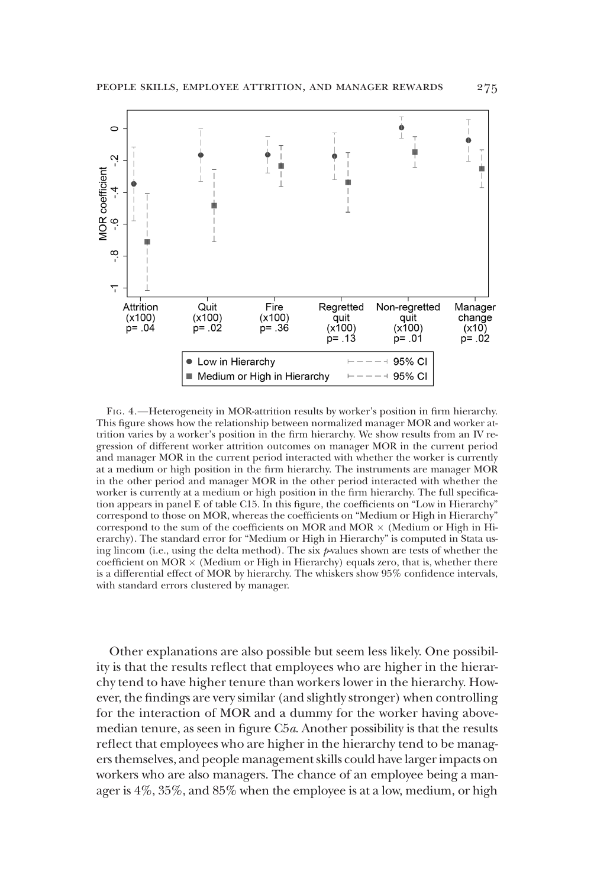

FIG. 4.—Heterogeneity in MOR-attrition results by worker's position in firm hierarchy. This figure shows how the relationship between normalized manager MOR and worker attrition varies by a worker's position in the firm hierarchy. We show results from an IV regression of different worker attrition outcomes on manager MOR in the current period and manager MOR in the current period interacted with whether the worker is currently at a medium or high position in the firm hierarchy. The instruments are manager MOR in the other period and manager MOR in the other period interacted with whether the worker is currently at a medium or high position in the firm hierarchy. The full specification appears in panel E of table C15. In this figure, the coefficients on "Low in Hierarchy" correspond to those on MOR, whereas the coefficients on "Medium or High in Hierarchy" correspond to the sum of the coefficients on MOR and MOR  $\times$  (Medium or High in Hierarchy). The standard error for "Medium or High in Hierarchy" is computed in Stata using lincom (i.e., using the delta method). The six  $p$ -values shown are tests of whether the coefficient on  $MOR \times (Medium)$  or High in Hierarchy) equals zero, that is, whether there is a differential effect of MOR by hierarchy. The whiskers show 95% confidence intervals, with standard errors clustered by manager.

Other explanations are also possible but seem less likely. One possibility is that the results reflect that employees who are higher in the hierarchy tend to have higher tenure than workers lower in the hierarchy. However, the findings are very similar (and slightly stronger) when controlling for the interaction of MOR and a dummy for the worker having abovemedian tenure, as seen in figure C5a. Another possibility is that the results reflect that employees who are higher in the hierarchy tend to be managers themselves, and people management skills could have larger impacts on workers who are also managers. The chance of an employee being a manager is 4%, 35%, and 85% when the employee is at a low, medium, or high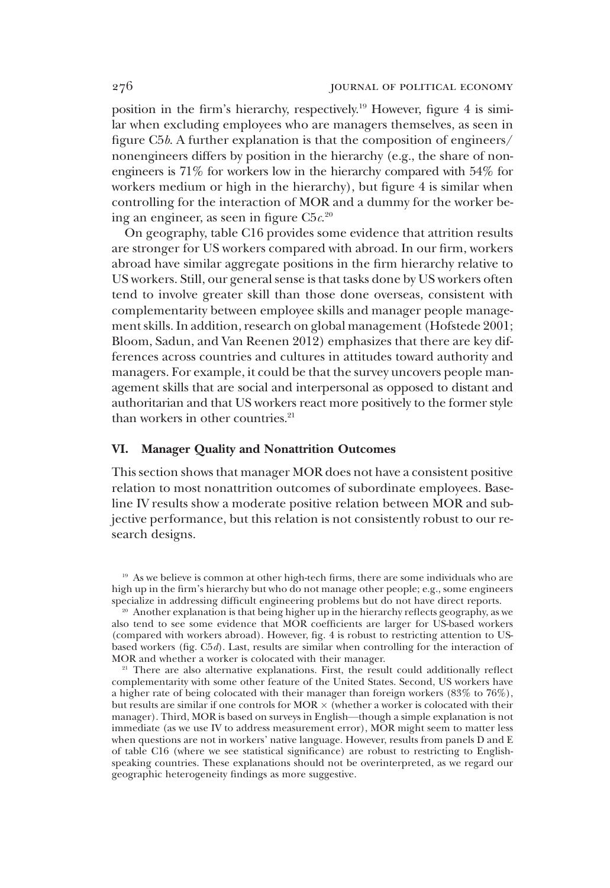position in the firm's hierarchy, respectively.19 However, figure 4 is similar when excluding employees who are managers themselves, as seen in figure C5b. A further explanation is that the composition of engineers/ nonengineers differs by position in the hierarchy (e.g., the share of nonengineers is 71% for workers low in the hierarchy compared with 54% for workers medium or high in the hierarchy), but figure 4 is similar when controlling for the interaction of MOR and a dummy for the worker being an engineer, as seen in figure  $C5c^{20}$ 

On geography, table C16 provides some evidence that attrition results are stronger for US workers compared with abroad. In our firm, workers abroad have similar aggregate positions in the firm hierarchy relative to US workers. Still, our general sense is that tasks done by US workers often tend to involve greater skill than those done overseas, consistent with complementarity between employee skills and manager people management skills. In addition, research on global management (Hofstede 2001; Bloom, Sadun, and Van Reenen 2012) emphasizes that there are key differences across countries and cultures in attitudes toward authority and managers. For example, it could be that the survey uncovers people management skills that are social and interpersonal as opposed to distant and authoritarian and that US workers react more positively to the former style than workers in other countries.<sup>21</sup>

# VI. Manager Quality and Nonattrition Outcomes

This section shows that manager MOR does not have a consistent positive relation to most nonattrition outcomes of subordinate employees. Baseline IV results show a moderate positive relation between MOR and subjective performance, but this relation is not consistently robust to our research designs.

<sup>&</sup>lt;sup>19</sup> As we believe is common at other high-tech firms, there are some individuals who are high up in the firm's hierarchy but who do not manage other people; e.g., some engineers specialize in addressing difficult engineering problems but do not have direct reports.

<sup>&</sup>lt;sup>20</sup> Another explanation is that being higher up in the hierarchy reflects geography, as we also tend to see some evidence that MOR coefficients are larger for US-based workers (compared with workers abroad). However, fig. 4 is robust to restricting attention to USbased workers (fig. C5d). Last, results are similar when controlling for the interaction of MOR and whether a worker is colocated with their manager.

<sup>&</sup>lt;sup>21</sup> There are also alternative explanations. First, the result could additionally reflect complementarity with some other feature of the United States. Second, US workers have a higher rate of being colocated with their manager than foreign workers (83% to 76%), but results are similar if one controls for MOR  $\times$  (whether a worker is colocated with their manager). Third, MOR is based on surveys in English—though a simple explanation is not immediate (as we use IV to address measurement error), MOR might seem to matter less when questions are not in workers' native language. However, results from panels D and E of table C16 (where we see statistical significance) are robust to restricting to Englishspeaking countries. These explanations should not be overinterpreted, as we regard our geographic heterogeneity findings as more suggestive.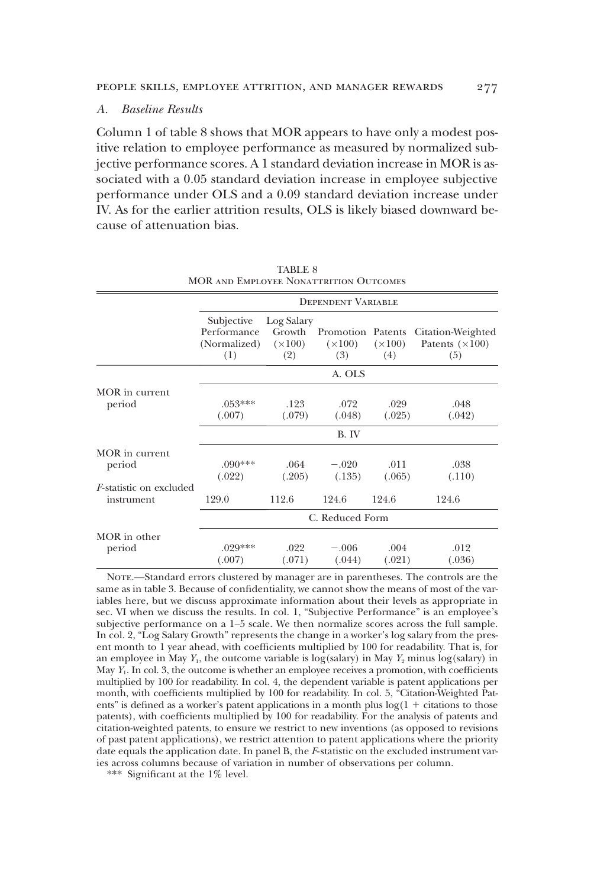# A. Baseline Results

Column 1 of table 8 shows that MOR appears to have only a modest positive relation to employee performance as measured by normalized subjective performance scores. A 1 standard deviation increase in MOR is associated with a 0.05 standard deviation increase in employee subjective performance under OLS and a 0.09 standard deviation increase under IV. As for the earlier attrition results, OLS is likely biased downward because of attenuation bias.

|                                               |                                                  | <b>DEPENDENT VARIABLE</b>                     |                                            |                       |                                                    |  |  |  |  |
|-----------------------------------------------|--------------------------------------------------|-----------------------------------------------|--------------------------------------------|-----------------------|----------------------------------------------------|--|--|--|--|
|                                               | Subjective<br>Performance<br>(Normalized)<br>(1) | Log Salary<br>Growth<br>$(\times 100)$<br>(2) | Promotion Patents<br>$(\times 100)$<br>(3) | $(\times 100)$<br>(4) | Citation-Weighted<br>Patents $(\times 100)$<br>(5) |  |  |  |  |
|                                               |                                                  |                                               | A. OLS                                     |                       |                                                    |  |  |  |  |
| MOR in current                                |                                                  |                                               |                                            |                       |                                                    |  |  |  |  |
| period                                        | $.053***$<br>(.007)                              | .123<br>(.079)                                | .072<br>(.048)                             | .029<br>(.025)        | .048<br>(.042)                                     |  |  |  |  |
|                                               |                                                  |                                               | B. IV                                      |                       |                                                    |  |  |  |  |
| MOR in current<br>period                      | $.090***$<br>(.022)                              | .064<br>(.205)                                | $-.020$<br>(.135)                          | .011<br>(.065)        | .038<br>(.110)                                     |  |  |  |  |
| <i>F</i> -statistic on excluded<br>instrument | 129.0                                            | 112.6                                         | 124.6                                      | 124.6                 | 124.6                                              |  |  |  |  |
|                                               |                                                  |                                               | C. Reduced Form                            |                       |                                                    |  |  |  |  |
| MOR in other<br>period                        | $.029***$<br>(.007)                              | .022<br>(.071)                                | $-.006$<br>(.044)                          | .004<br>(.021)        | .012<br>(.036)                                     |  |  |  |  |

TABLE 8 MOR and Employee Nonattrition Outcomes

NOTE.—Standard errors clustered by manager are in parentheses. The controls are the same as in table 3. Because of confidentiality, we cannot show the means of most of the variables here, but we discuss approximate information about their levels as appropriate in sec. VI when we discuss the results. In col. 1, "Subjective Performance" is an employee's subjective performance on a 1–5 scale. We then normalize scores across the full sample. In col. 2, "Log Salary Growth" represents the change in a worker's log salary from the present month to 1 year ahead, with coefficients multiplied by 100 for readability. That is, for an employee in May  $Y_1$ , the outcome variable is log(salary) in May  $Y_2$  minus log(salary) in May  $Y_1$ . In col. 3, the outcome is whether an employee receives a promotion, with coefficients multiplied by 100 for readability. In col. 4, the dependent variable is patent applications per month, with coefficients multiplied by 100 for readability. In col. 5, "Citation-Weighted Patents" is defined as a worker's patent applications in a month plus  $log(1 +$  citations to those patents), with coefficients multiplied by 100 for readability. For the analysis of patents and citation-weighted patents, to ensure we restrict to new inventions (as opposed to revisions of past patent applications), we restrict attention to patent applications where the priority date equals the application date. In panel B, the F-statistic on the excluded instrument varies across columns because of variation in number of observations per column.

\*\*\* Significant at the 1% level.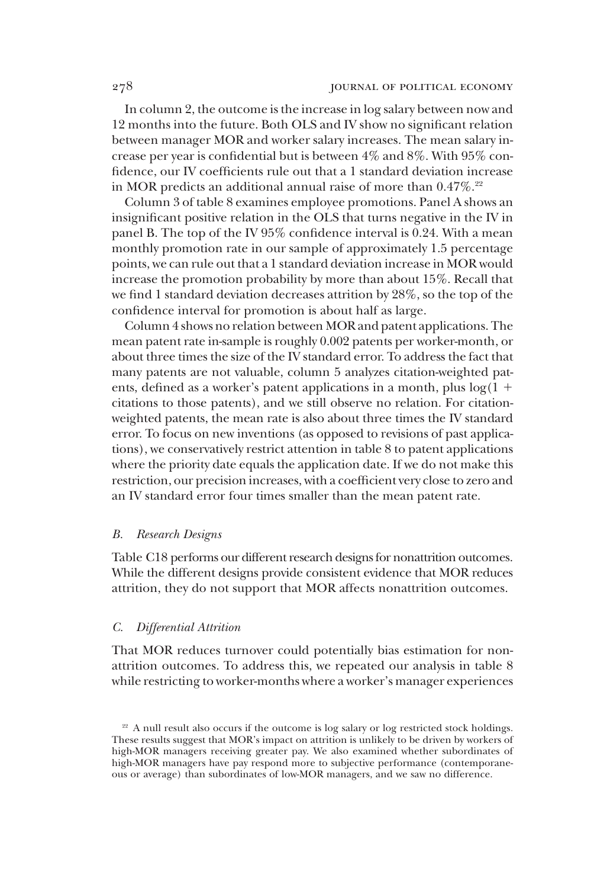In column 2, the outcome is the increase in log salary between now and 12 months into the future. Both OLS and IV show no significant relation between manager MOR and worker salary increases. The mean salary increase per year is confidential but is between 4% and 8%. With 95% confidence, our IV coefficients rule out that a 1 standard deviation increase in MOR predicts an additional annual raise of more than 0.47%.<sup>22</sup>

Column 3 of table 8 examines employee promotions. Panel A shows an insignificant positive relation in the OLS that turns negative in the IV in panel B. The top of the IV 95% confidence interval is 0.24. With a mean monthly promotion rate in our sample of approximately 1.5 percentage points, we can rule out that a 1 standard deviation increase in MOR would increase the promotion probability by more than about 15%. Recall that we find 1 standard deviation decreases attrition by 28%, so the top of the confidence interval for promotion is about half as large.

Column 4 shows no relation between MOR and patent applications. The mean patent rate in-sample is roughly 0.002 patents per worker-month, or about three times the size of the IV standard error. To address the fact that many patents are not valuable, column 5 analyzes citation-weighted patents, defined as a worker's patent applications in a month, plus  $log(1 +$ citations to those patents), and we still observe no relation. For citationweighted patents, the mean rate is also about three times the IV standard error. To focus on new inventions (as opposed to revisions of past applications), we conservatively restrict attention in table 8 to patent applications where the priority date equals the application date. If we do not make this restriction, our precision increases, with a coefficient very close to zero and an IV standard error four times smaller than the mean patent rate.

#### B. Research Designs

Table C18 performs our different research designs for nonattrition outcomes. While the different designs provide consistent evidence that MOR reduces attrition, they do not support that MOR affects nonattrition outcomes.

# C. Differential Attrition

That MOR reduces turnover could potentially bias estimation for nonattrition outcomes. To address this, we repeated our analysis in table 8 while restricting to worker-months where a worker's manager experiences

<sup>&</sup>lt;sup>22</sup> A null result also occurs if the outcome is log salary or log restricted stock holdings. These results suggest that MOR's impact on attrition is unlikely to be driven by workers of high-MOR managers receiving greater pay. We also examined whether subordinates of high-MOR managers have pay respond more to subjective performance (contemporaneous or average) than subordinates of low-MOR managers, and we saw no difference.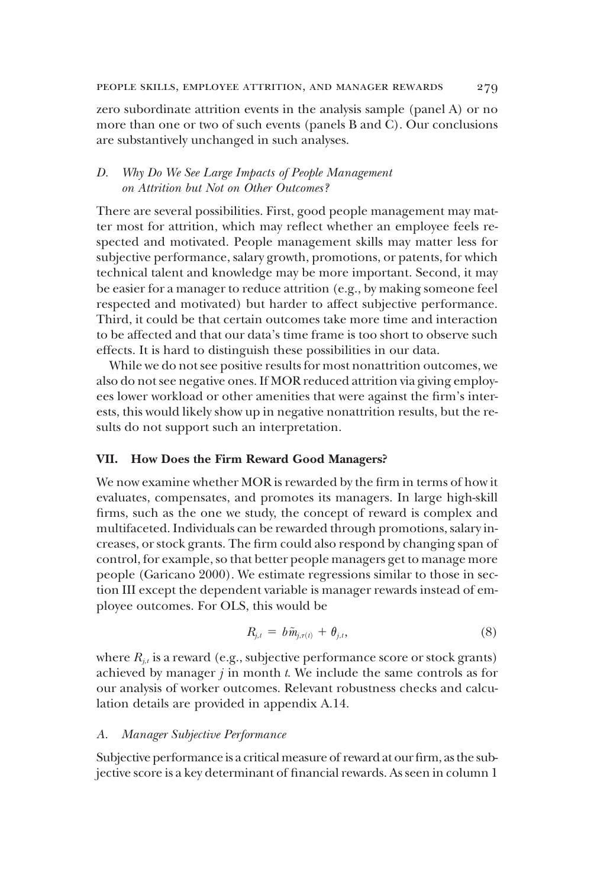zero subordinate attrition events in the analysis sample (panel A) or no more than one or two of such events (panels B and C). Our conclusions are substantively unchanged in such analyses.

# D. Why Do We See Large Impacts of People Management on Attrition but Not on Other Outcomes?

There are several possibilities. First, good people management may matter most for attrition, which may reflect whether an employee feels respected and motivated. People management skills may matter less for subjective performance, salary growth, promotions, or patents, for which technical talent and knowledge may be more important. Second, it may be easier for a manager to reduce attrition (e.g., by making someone feel respected and motivated) but harder to affect subjective performance. Third, it could be that certain outcomes take more time and interaction to be affected and that our data's time frame is too short to observe such effects. It is hard to distinguish these possibilities in our data.

While we do not see positive results for most nonattrition outcomes, we also do not see negative ones. If MOR reduced attrition via giving employees lower workload or other amenities that were against the firm's interests, this would likely show up in negative nonattrition results, but the results do not support such an interpretation.

# VII. How Does the Firm Reward Good Managers?

We now examine whether MOR is rewarded by the firm in terms of how it evaluates, compensates, and promotes its managers. In large high-skill firms, such as the one we study, the concept of reward is complex and multifaceted. Individuals can be rewarded through promotions, salary increases, or stock grants. The firm could also respond by changing span of control, for example, so that better people managers get to manage more people (Garicano 2000). We estimate regressions similar to those in section III except the dependent variable is manager rewards instead of employee outcomes. For OLS, this would be

$$
R_{j,t} = b\tilde{m}_{j,\tau(t)} + \theta_{j,t}, \qquad (8)
$$

where  $R_{i,t}$  is a reward (e.g., subjective performance score or stock grants) achieved by manager  $j$  in month  $t$ . We include the same controls as for our analysis of worker outcomes. Relevant robustness checks and calculation details are provided in appendix A.14.

# A. Manager Subjective Performance

Subjective performance is a critical measure of reward at our firm, as the subjective score is a key determinant of financial rewards. As seen in column 1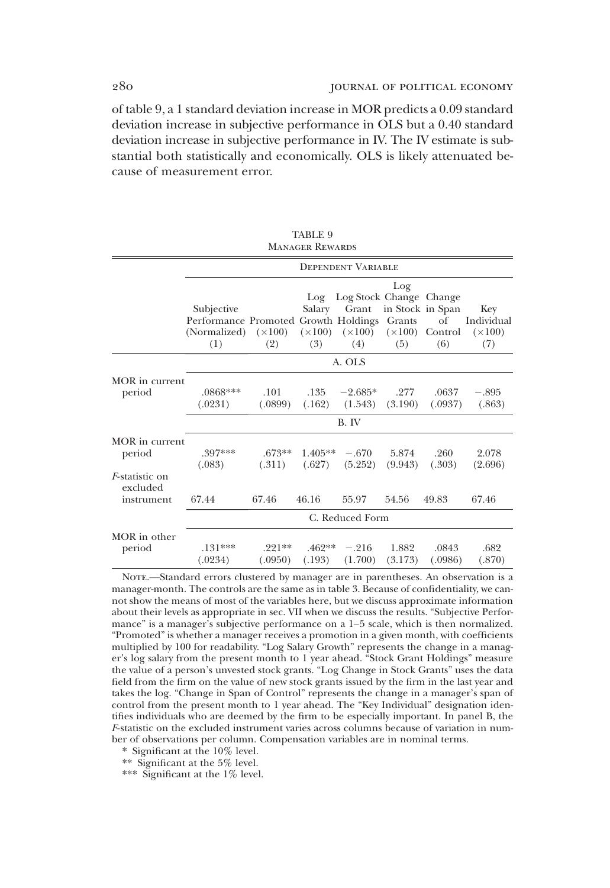of table 9, a 1 standard deviation increase in MOR predicts a 0.09 standard deviation increase in subjective performance in OLS but a 0.40 standard deviation increase in subjective performance in IV. The IV estimate is substantial both statistically and economically. OLS is likely attenuated because of measurement error.

> TABLE 9 MANAGER REWARDS

|                                                  |                                                                                                                                                      |                     |                      | <b>DEPENDENT VARIABLE</b>               |                                |                  |                                            |  |  |
|--------------------------------------------------|------------------------------------------------------------------------------------------------------------------------------------------------------|---------------------|----------------------|-----------------------------------------|--------------------------------|------------------|--------------------------------------------|--|--|
|                                                  | Subjective<br>Performance Promoted Growth Holdings Grants<br>(Normalized) $(\times 100)$ $(\times 100)$ $(\times 100)$ $(\times 100)$ Control<br>(1) | (2)                 | Log<br>Salary<br>(3) | Log Stock Change Change<br>Grant<br>(4) | Log<br>in Stock in Span<br>(5) | of<br>(6)        | Key<br>Individual<br>$(\times 100)$<br>(7) |  |  |
|                                                  |                                                                                                                                                      | A. OLS              |                      |                                         |                                |                  |                                            |  |  |
| MOR in current<br>period                         | .0868***<br>(.0231)                                                                                                                                  | .101<br>(.0899)     | .135<br>(.162)       | $-2.685*$<br>(1.543)                    | .277<br>(3.190)                | .0637<br>(.0937) | $-.895$<br>(.863)                          |  |  |
|                                                  |                                                                                                                                                      |                     |                      | B. IV                                   |                                |                  |                                            |  |  |
| MOR in current<br>period                         | 397***<br>(.083)                                                                                                                                     | $.673**$<br>(.311)  | $1.405**$<br>(.627)  | $-.670$<br>(5.252)                      | 5.874<br>(9.943)               | .260<br>(.303)   | 2.078<br>(2.696)                           |  |  |
| <i>F</i> -statistic on<br>excluded<br>instrument | 67.44                                                                                                                                                | 67.46               | 46.16                | 55.97                                   | 54.56                          | 49.83            | 67.46                                      |  |  |
|                                                  | C. Reduced Form                                                                                                                                      |                     |                      |                                         |                                |                  |                                            |  |  |
| MOR in other<br>period                           | $.131***$<br>(.0234)                                                                                                                                 | $.221**$<br>(.0950) | $.462**$<br>(.193)   | $-.216$<br>(1.700)                      | 1.882<br>(3.173)               | .0843<br>(.0986) | .682<br>(.870)                             |  |  |

NOTE.—Standard errors clustered by manager are in parentheses. An observation is a manager-month. The controls are the same as in table 3. Because of confidentiality, we cannot show the means of most of the variables here, but we discuss approximate information about their levels as appropriate in sec. VII when we discuss the results. "Subjective Performance" is a manager's subjective performance on a 1–5 scale, which is then normalized. "Promoted" is whether a manager receives a promotion in a given month, with coefficients multiplied by 100 for readability. "Log Salary Growth" represents the change in a manager's log salary from the present month to 1 year ahead. "Stock Grant Holdings" measure the value of a person's unvested stock grants. "Log Change in Stock Grants" uses the data field from the firm on the value of new stock grants issued by the firm in the last year and takes the log. "Change in Span of Control" represents the change in a manager's span of control from the present month to 1 year ahead. The "Key Individual" designation identifies individuals who are deemed by the firm to be especially important. In panel B, the F-statistic on the excluded instrument varies across columns because of variation in number of observations per column. Compensation variables are in nominal terms.

\* Significant at the 10% level.

\*\* Significant at the 5% level.

\*\*\* Significant at the 1% level.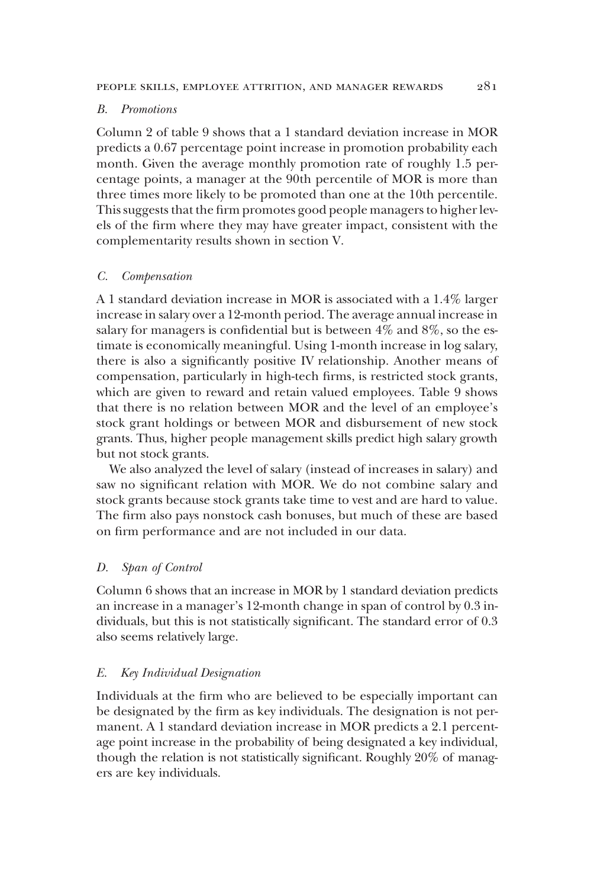#### B. Promotions

Column 2 of table 9 shows that a 1 standard deviation increase in MOR predicts a 0.67 percentage point increase in promotion probability each month. Given the average monthly promotion rate of roughly 1.5 percentage points, a manager at the 90th percentile of MOR is more than three times more likely to be promoted than one at the 10th percentile. This suggests that the firm promotes good people managers to higher levels of the firm where they may have greater impact, consistent with the complementarity results shown in section V.

#### C. Compensation

A 1 standard deviation increase in MOR is associated with a 1.4% larger increase in salary over a 12-month period. The average annual increase in salary for managers is confidential but is between 4% and 8%, so the estimate is economically meaningful. Using 1-month increase in log salary, there is also a significantly positive IV relationship. Another means of compensation, particularly in high-tech firms, is restricted stock grants, which are given to reward and retain valued employees. Table 9 shows that there is no relation between MOR and the level of an employee's stock grant holdings or between MOR and disbursement of new stock grants. Thus, higher people management skills predict high salary growth but not stock grants.

We also analyzed the level of salary (instead of increases in salary) and saw no significant relation with MOR. We do not combine salary and stock grants because stock grants take time to vest and are hard to value. The firm also pays nonstock cash bonuses, but much of these are based on firm performance and are not included in our data.

#### D. Span of Control

Column 6 shows that an increase in MOR by 1 standard deviation predicts an increase in a manager's 12-month change in span of control by 0.3 individuals, but this is not statistically significant. The standard error of 0.3 also seems relatively large.

#### E. Key Individual Designation

Individuals at the firm who are believed to be especially important can be designated by the firm as key individuals. The designation is not permanent. A 1 standard deviation increase in MOR predicts a 2.1 percentage point increase in the probability of being designated a key individual, though the relation is not statistically significant. Roughly 20% of managers are key individuals.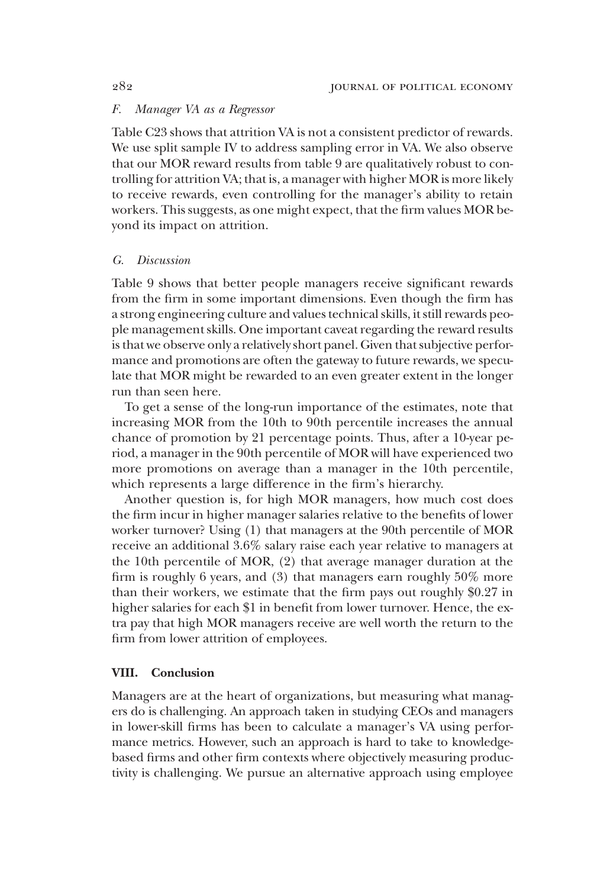# F. Manager VA as a Regressor

Table C23 shows that attrition VA is not a consistent predictor of rewards. We use split sample IV to address sampling error in VA. We also observe that our MOR reward results from table 9 are qualitatively robust to controlling for attrition VA; that is, a manager with higher MOR is more likely to receive rewards, even controlling for the manager's ability to retain workers. This suggests, as one might expect, that the firm values MOR beyond its impact on attrition.

#### G. Discussion

Table 9 shows that better people managers receive significant rewards from the firm in some important dimensions. Even though the firm has a strong engineering culture and values technical skills, it still rewards people management skills. One important caveat regarding the reward results is that we observe only a relatively short panel. Given that subjective performance and promotions are often the gateway to future rewards, we speculate that MOR might be rewarded to an even greater extent in the longer run than seen here.

To get a sense of the long-run importance of the estimates, note that increasing MOR from the 10th to 90th percentile increases the annual chance of promotion by 21 percentage points. Thus, after a 10-year period, a manager in the 90th percentile of MOR will have experienced two more promotions on average than a manager in the 10th percentile, which represents a large difference in the firm's hierarchy.

Another question is, for high MOR managers, how much cost does the firm incur in higher manager salaries relative to the benefits of lower worker turnover? Using (1) that managers at the 90th percentile of MOR receive an additional 3.6% salary raise each year relative to managers at the 10th percentile of MOR, (2) that average manager duration at the firm is roughly 6 years, and (3) that managers earn roughly 50% more than their workers, we estimate that the firm pays out roughly \$0.27 in higher salaries for each \$1 in benefit from lower turnover. Hence, the extra pay that high MOR managers receive are well worth the return to the firm from lower attrition of employees.

#### VIII. Conclusion

Managers are at the heart of organizations, but measuring what managers do is challenging. An approach taken in studying CEOs and managers in lower-skill firms has been to calculate a manager's VA using performance metrics. However, such an approach is hard to take to knowledgebased firms and other firm contexts where objectively measuring productivity is challenging. We pursue an alternative approach using employee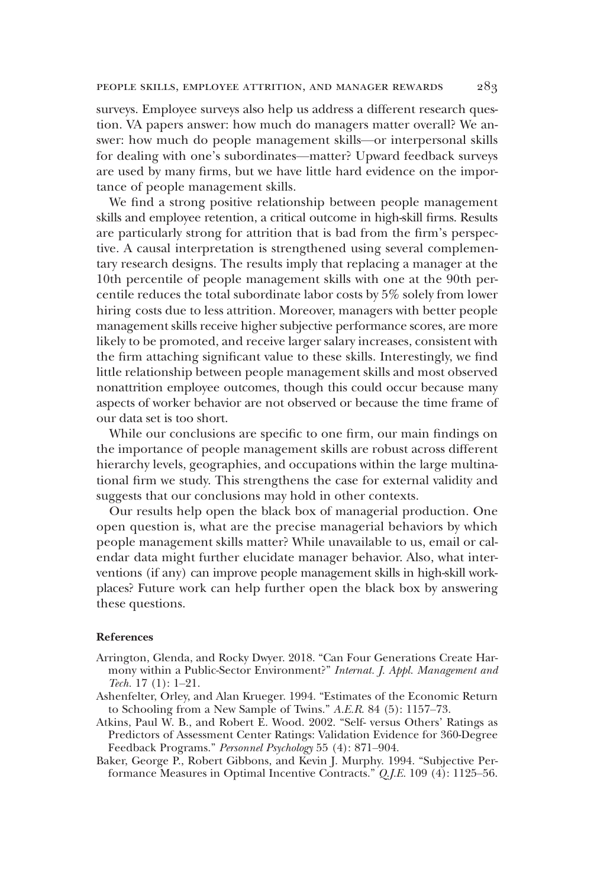surveys. Employee surveys also help us address a different research question. VA papers answer: how much do managers matter overall? We answer: how much do people management skills—or interpersonal skills for dealing with one's subordinates—matter? Upward feedback surveys are used by many firms, but we have little hard evidence on the importance of people management skills.

We find a strong positive relationship between people management skills and employee retention, a critical outcome in high-skill firms. Results are particularly strong for attrition that is bad from the firm's perspective. A causal interpretation is strengthened using several complementary research designs. The results imply that replacing a manager at the 10th percentile of people management skills with one at the 90th percentile reduces the total subordinate labor costs by 5% solely from lower hiring costs due to less attrition. Moreover, managers with better people management skills receive higher subjective performance scores, are more likely to be promoted, and receive larger salary increases, consistent with the firm attaching significant value to these skills. Interestingly, we find little relationship between people management skills and most observed nonattrition employee outcomes, though this could occur because many aspects of worker behavior are not observed or because the time frame of our data set is too short.

While our conclusions are specific to one firm, our main findings on the importance of people management skills are robust across different hierarchy levels, geographies, and occupations within the large multinational firm we study. This strengthens the case for external validity and suggests that our conclusions may hold in other contexts.

Our results help open the black box of managerial production. One open question is, what are the precise managerial behaviors by which people management skills matter? While unavailable to us, email or calendar data might further elucidate manager behavior. Also, what interventions (if any) can improve people management skills in high-skill workplaces? Future work can help further open the black box by answering these questions.

#### References

- Arrington, Glenda, and Rocky Dwyer. 2018. "Can Four Generations Create Harmony within a Public-Sector Environment?" Internat. J. Appl. Management and Tech. 17 (1): 1–21.
- Ashenfelter, Orley, and Alan Krueger. 1994. "Estimates of the Economic Return to Schooling from a New Sample of Twins." A.E.R. 84 (5): 1157–73.
- Atkins, Paul W. B., and Robert E. Wood. 2002. "Self- versus Others' Ratings as Predictors of Assessment Center Ratings: Validation Evidence for 360-Degree Feedback Programs." Personnel Psychology 55 (4): 871–904.
- Baker, George P., Robert Gibbons, and Kevin J. Murphy. 1994. "Subjective Performance Measures in Optimal Incentive Contracts." Q.J.E. 109 (4): 1125–56.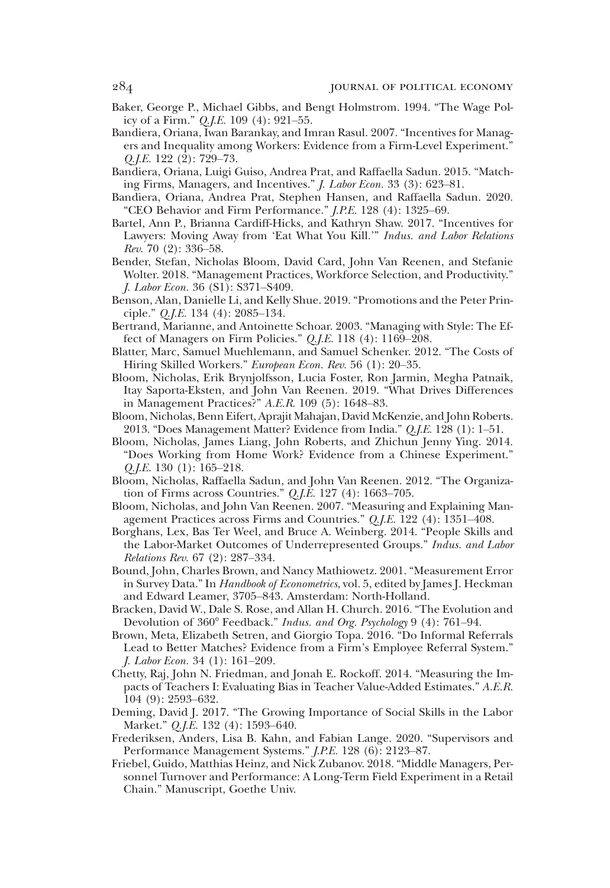- Baker, George P., Michael Gibbs, and Bengt Holmstrom. 1994. "The Wage Policy of a Firm." Q.J.E. 109 (4): 921–55.
- Bandiera, Oriana, Iwan Barankay, and Imran Rasul. 2007. "Incentives for Managers and Inequality among Workers: Evidence from a Firm-Level Experiment.' Q.J.E. 122 (2): 729–73.
- Bandiera, Oriana, Luigi Guiso, Andrea Prat, and Raffaella Sadun. 2015. "Matching Firms, Managers, and Incentives." J. Labor Econ. 33 (3): 623–81.
- Bandiera, Oriana, Andrea Prat, Stephen Hansen, and Raffaella Sadun. 2020. "CEO Behavior and Firm Performance." J.P.E. 128 (4): 1325–69.
- Bartel, Ann P., Brianna Cardiff-Hicks, and Kathryn Shaw. 2017. "Incentives for Lawyers: Moving Away from 'Eat What You Kill.'" Indus. and Labor Relations Rev. 70 (2): 336–58.
- Bender, Stefan, Nicholas Bloom, David Card, John Van Reenen, and Stefanie Wolter. 2018. "Management Practices, Workforce Selection, and Productivity." J. Labor Econ. 36 (S1): S371–S409.
- Benson, Alan, Danielle Li, and Kelly Shue. 2019. "Promotions and the Peter Principle." Q.J.E. 134 (4): 2085–134.
- Bertrand, Marianne, and Antoinette Schoar. 2003. "Managing with Style: The Effect of Managers on Firm Policies." Q.J.E. 118 (4): 1169–208.
- Blatter, Marc, Samuel Muehlemann, and Samuel Schenker. 2012. "The Costs of Hiring Skilled Workers." European Econ. Rev. 56 (1): 20-35.
- Bloom, Nicholas, Erik Brynjolfsson, Lucia Foster, Ron Jarmin, Megha Patnaik, Itay Saporta-Eksten, and John Van Reenen. 2019. "What Drives Differences in Management Practices?" A.E.R. 109 (5): 1648–83.
- Bloom, Nicholas, Benn Eifert, Aprajit Mahajan, David McKenzie, and John Roberts. 2013. "Does Management Matter? Evidence from India." Q.J.E. 128 (1): 1–51.
- Bloom, Nicholas, James Liang, John Roberts, and Zhichun Jenny Ying. 2014. "Does Working from Home Work? Evidence from a Chinese Experiment." Q.J.E. 130 (1): 165–218.
- Bloom, Nicholas, Raffaella Sadun, and John Van Reenen. 2012. "The Organization of Firms across Countries." Q.J.E. 127 (4): 1663–705.
- Bloom, Nicholas, and John Van Reenen. 2007. "Measuring and Explaining Management Practices across Firms and Countries." Q.J.E. 122 (4): 1351–408.
- Borghans, Lex, Bas Ter Weel, and Bruce A. Weinberg. 2014. "People Skills and the Labor-Market Outcomes of Underrepresented Groups." Indus. and Labor Relations Rev. 67 (2): 287–334.
- Bound, John, Charles Brown, and Nancy Mathiowetz. 2001. "Measurement Error in Survey Data." In Handbook of Econometrics, vol. 5, edited by James J. Heckman and Edward Leamer, 3705–843. Amsterdam: North-Holland.
- Bracken, David W., Dale S. Rose, and Allan H. Church. 2016. "The Evolution and Devolution of 360° Feedback." Indus. and Org. Psychology 9 (4): 761–94.
- Brown, Meta, Elizabeth Setren, and Giorgio Topa. 2016. "Do Informal Referrals Lead to Better Matches? Evidence from a Firm's Employee Referral System." J. Labor Econ. 34 (1): 161–209.
- Chetty, Raj, John N. Friedman, and Jonah E. Rockoff. 2014. "Measuring the Impacts of Teachers I: Evaluating Bias in Teacher Value-Added Estimates." A.E.R. 104 (9): 2593–632.
- Deming, David J. 2017. "The Growing Importance of Social Skills in the Labor Market." Q.J.E. 132 (4): 1593–640.
- Frederiksen, Anders, Lisa B. Kahn, and Fabian Lange. 2020. "Supervisors and Performance Management Systems." J.P.E. 128 (6): 2123–87.
- Friebel, Guido, Matthias Heinz, and Nick Zubanov. 2018. "Middle Managers, Personnel Turnover and Performance: A Long-Term Field Experiment in a Retail Chain." Manuscript, Goethe Univ.